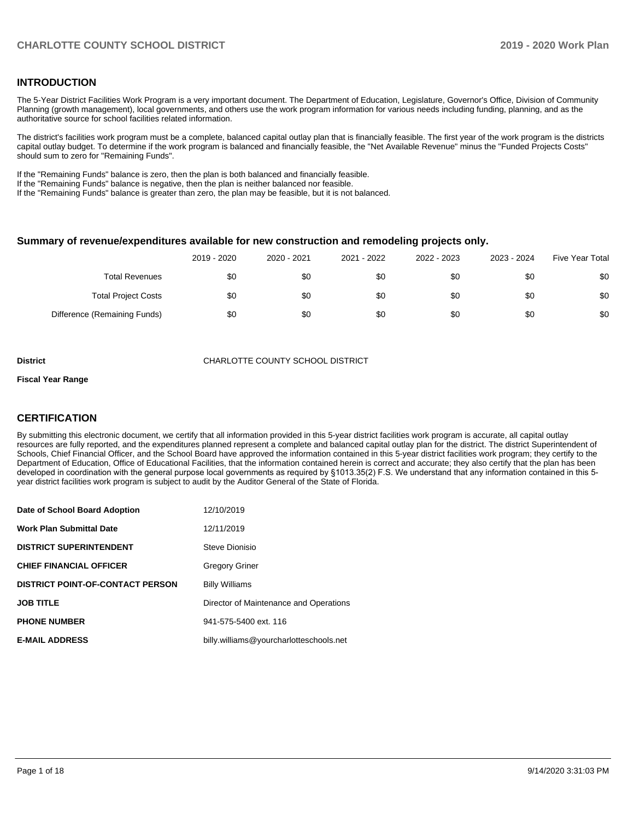### **INTRODUCTION**

The 5-Year District Facilities Work Program is a very important document. The Department of Education, Legislature, Governor's Office, Division of Community Planning (growth management), local governments, and others use the work program information for various needs including funding, planning, and as the authoritative source for school facilities related information.

The district's facilities work program must be a complete, balanced capital outlay plan that is financially feasible. The first year of the work program is the districts capital outlay budget. To determine if the work program is balanced and financially feasible, the "Net Available Revenue" minus the "Funded Projects Costs" should sum to zero for "Remaining Funds".

If the "Remaining Funds" balance is zero, then the plan is both balanced and financially feasible.

If the "Remaining Funds" balance is negative, then the plan is neither balanced nor feasible.

If the "Remaining Funds" balance is greater than zero, the plan may be feasible, but it is not balanced.

#### **Summary of revenue/expenditures available for new construction and remodeling projects only.**

|                              | 2019 - 2020 | 2020 - 2021 | 2021 - 2022 | 2022 - 2023 | 2023 - 2024 | <b>Five Year Total</b> |
|------------------------------|-------------|-------------|-------------|-------------|-------------|------------------------|
| <b>Total Revenues</b>        | \$0         | \$0         | \$0         | \$0         | \$0         | \$0                    |
| <b>Total Project Costs</b>   | \$0         | \$0         | \$0         | \$0         | \$0         | \$0                    |
| Difference (Remaining Funds) | \$0         | \$0         | \$0         | \$0         | \$0         | \$0                    |

**District CHARLOTTE COUNTY SCHOOL DISTRICT** 

#### **Fiscal Year Range**

### **CERTIFICATION**

By submitting this electronic document, we certify that all information provided in this 5-year district facilities work program is accurate, all capital outlay resources are fully reported, and the expenditures planned represent a complete and balanced capital outlay plan for the district. The district Superintendent of Schools, Chief Financial Officer, and the School Board have approved the information contained in this 5-year district facilities work program; they certify to the Department of Education, Office of Educational Facilities, that the information contained herein is correct and accurate; they also certify that the plan has been developed in coordination with the general purpose local governments as required by §1013.35(2) F.S. We understand that any information contained in this 5 year district facilities work program is subject to audit by the Auditor General of the State of Florida.

| Date of School Board Adoption           | 12/10/2019                              |
|-----------------------------------------|-----------------------------------------|
| <b>Work Plan Submittal Date</b>         | 12/11/2019                              |
| <b>DISTRICT SUPERINTENDENT</b>          | Steve Dionisio                          |
| <b>CHIEF FINANCIAL OFFICER</b>          | <b>Gregory Griner</b>                   |
| <b>DISTRICT POINT-OF-CONTACT PERSON</b> | <b>Billy Williams</b>                   |
| <b>JOB TITLE</b>                        | Director of Maintenance and Operations  |
| <b>PHONE NUMBER</b>                     | 941-575-5400 ext. 116                   |
| <b>E-MAIL ADDRESS</b>                   | billy.williams@yourcharlotteschools.net |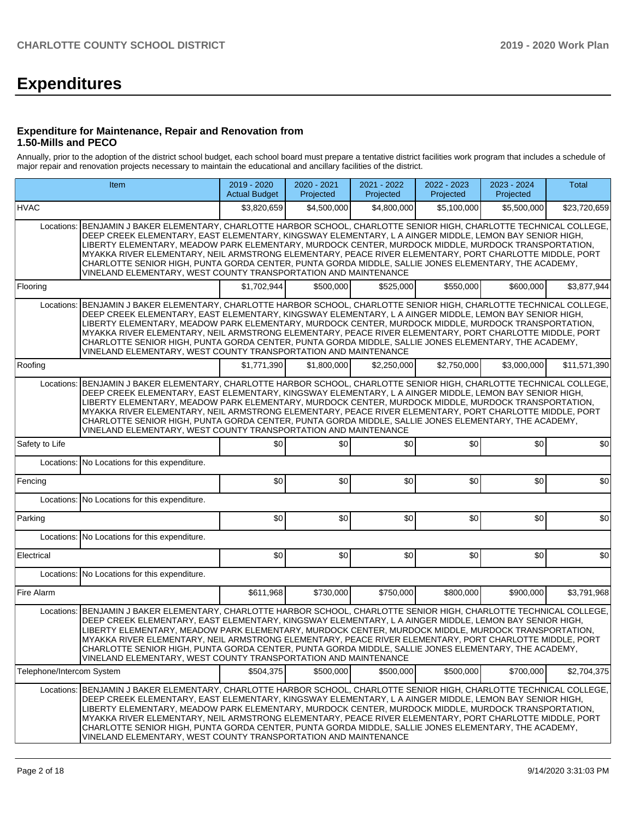# **Expenditures**

#### **Expenditure for Maintenance, Repair and Renovation from 1.50-Mills and PECO**

Annually, prior to the adoption of the district school budget, each school board must prepare a tentative district facilities work program that includes a schedule of major repair and renovation projects necessary to maintain the educational and ancillary facilities of the district.

|                           | Item                                                                                                                                                                                                                                                                                                                                                                                                                                                                                                                                                                                                             | 2019 - 2020<br><b>Actual Budget</b> | 2020 - 2021<br>Projected | 2021 - 2022<br>Projected | 2022 - 2023<br>Projected | 2023 - 2024<br>Projected | <b>Total</b> |
|---------------------------|------------------------------------------------------------------------------------------------------------------------------------------------------------------------------------------------------------------------------------------------------------------------------------------------------------------------------------------------------------------------------------------------------------------------------------------------------------------------------------------------------------------------------------------------------------------------------------------------------------------|-------------------------------------|--------------------------|--------------------------|--------------------------|--------------------------|--------------|
| <b>HVAC</b>               |                                                                                                                                                                                                                                                                                                                                                                                                                                                                                                                                                                                                                  | \$3,820,659                         | \$4,500,000              | \$4,800,000              | \$5,100,000              | \$5,500,000              | \$23,720,659 |
| Locations:                | BENJAMIN J BAKER ELEMENTARY, CHARLOTTE HARBOR SCHOOL, CHARLOTTE SENIOR HIGH, CHARLOTTE TECHNICAL COLLEGE,<br>DEEP CREEK ELEMENTARY, EAST ELEMENTARY, KINGSWAY ELEMENTARY, L A AINGER MIDDLE, LEMON BAY SENIOR HIGH,<br>LIBERTY ELEMENTARY, MEADOW PARK ELEMENTARY, MURDOCK CENTER, MURDOCK MIDDLE, MURDOCK TRANSPORTATION,<br>MYAKKA RIVER ELEMENTARY, NEIL ARMSTRONG ELEMENTARY, PEACE RIVER ELEMENTARY, PORT CHARLOTTE MIDDLE, PORT<br>CHARLOTTE SENIOR HIGH, PUNTA GORDA CENTER, PUNTA GORDA MIDDLE, SALLIE JONES ELEMENTARY, THE ACADEMY,<br>VINELAND ELEMENTARY, WEST COUNTY TRANSPORTATION AND MAINTENANCE |                                     |                          |                          |                          |                          |              |
| Flooring                  |                                                                                                                                                                                                                                                                                                                                                                                                                                                                                                                                                                                                                  | \$1,702,944                         | \$500.000                | \$525,000                | \$550,000                | \$600,000                | \$3,877,944  |
| Locations:                | BENJAMIN J BAKER ELEMENTARY, CHARLOTTE HARBOR SCHOOL, CHARLOTTE SENIOR HIGH, CHARLOTTE TECHNICAL COLLEGE,<br>DEEP CREEK ELEMENTARY. EAST ELEMENTARY, KINGSWAY ELEMENTARY, L A AINGER MIDDLE, LEMON BAY SENIOR HIGH.<br>LIBERTY ELEMENTARY, MEADOW PARK ELEMENTARY, MURDOCK CENTER, MURDOCK MIDDLE, MURDOCK TRANSPORTATION,<br>MYAKKA RIVER ELEMENTARY, NEIL ARMSTRONG ELEMENTARY, PEACE RIVER ELEMENTARY, PORT CHARLOTTE MIDDLE, PORT<br>CHARLOTTE SENIOR HIGH, PUNTA GORDA CENTER, PUNTA GORDA MIDDLE, SALLIE JONES ELEMENTARY, THE ACADEMY,<br>VINELAND ELEMENTARY, WEST COUNTY TRANSPORTATION AND MAINTENANCE |                                     |                          |                          |                          |                          |              |
| Roofing                   |                                                                                                                                                                                                                                                                                                                                                                                                                                                                                                                                                                                                                  | \$1,771,390                         | \$1,800,000              | \$2,250,000              | \$2,750,000              | \$3,000,000              | \$11,571,390 |
| Locations:                | BENJAMIN J BAKER ELEMENTARY, CHARLOTTE HARBOR SCHOOL, CHARLOTTE SENIOR HIGH, CHARLOTTE TECHNICAL COLLEGE,<br>DEEP CREEK ELEMENTARY, EAST ELEMENTARY, KINGSWAY ELEMENTARY, L A AINGER MIDDLE, LEMON BAY SENIOR HIGH,<br>LIBERTY ELEMENTARY, MEADOW PARK ELEMENTARY, MURDOCK CENTER, MURDOCK MIDDLE, MURDOCK TRANSPORTATION,<br>MYAKKA RIVER ELEMENTARY, NEIL ARMSTRONG ELEMENTARY, PEACE RIVER ELEMENTARY, PORT CHARLOTTE MIDDLE, PORT<br>CHARLOTTE SENIOR HIGH, PUNTA GORDA CENTER, PUNTA GORDA MIDDLE, SALLIE JONES ELEMENTARY, THE ACADEMY,<br>VINELAND ELEMENTARY, WEST COUNTY TRANSPORTATION AND MAINTENANCE |                                     |                          |                          |                          |                          |              |
| Safety to Life            |                                                                                                                                                                                                                                                                                                                                                                                                                                                                                                                                                                                                                  | \$0                                 | \$0                      | \$0                      | \$0                      | \$0                      | \$0          |
| Locations:                | No Locations for this expenditure.                                                                                                                                                                                                                                                                                                                                                                                                                                                                                                                                                                               |                                     |                          |                          |                          |                          |              |
| Fencing                   |                                                                                                                                                                                                                                                                                                                                                                                                                                                                                                                                                                                                                  | \$0                                 | \$0                      | \$0                      | \$0                      | \$0                      | \$0          |
|                           | Locations: No Locations for this expenditure.                                                                                                                                                                                                                                                                                                                                                                                                                                                                                                                                                                    |                                     |                          |                          |                          |                          |              |
| Parking                   |                                                                                                                                                                                                                                                                                                                                                                                                                                                                                                                                                                                                                  | \$0                                 | \$0                      | \$0                      | \$0                      | \$0                      | \$0          |
|                           | Locations: No Locations for this expenditure.                                                                                                                                                                                                                                                                                                                                                                                                                                                                                                                                                                    |                                     |                          |                          |                          |                          |              |
| Electrical                |                                                                                                                                                                                                                                                                                                                                                                                                                                                                                                                                                                                                                  | \$0                                 | \$0                      | \$0                      | \$0                      | \$0                      | \$0          |
| Locations:                | No Locations for this expenditure.                                                                                                                                                                                                                                                                                                                                                                                                                                                                                                                                                                               |                                     |                          |                          |                          |                          |              |
| Fire Alarm                |                                                                                                                                                                                                                                                                                                                                                                                                                                                                                                                                                                                                                  | \$611,968                           | \$730,000                | \$750.000                | \$800,000                | \$900.000                | \$3.791.968  |
| Locations:                | BENJAMIN J BAKER ELEMENTARY, CHARLOTTE HARBOR SCHOOL, CHARLOTTE SENIOR HIGH, CHARLOTTE TECHNICAL COLLEGE,<br>DEEP CREEK ELEMENTARY, EAST ELEMENTARY, KINGSWAY ELEMENTARY, L A AINGER MIDDLE, LEMON BAY SENIOR HIGH,<br>LIBERTY ELEMENTARY, MEADOW PARK ELEMENTARY, MURDOCK CENTER, MURDOCK MIDDLE, MURDOCK TRANSPORTATION,<br>MYAKKA RIVER ELEMENTARY, NEIL ARMSTRONG ELEMENTARY, PEACE RIVER ELEMENTARY, PORT CHARLOTTE MIDDLE, PORT<br>CHARLOTTE SENIOR HIGH, PUNTA GORDA CENTER, PUNTA GORDA MIDDLE, SALLIE JONES ELEMENTARY, THE ACADEMY,<br>VINELAND ELEMENTARY, WEST COUNTY TRANSPORTATION AND MAINTENANCE |                                     |                          |                          |                          |                          |              |
| Telephone/Intercom System |                                                                                                                                                                                                                                                                                                                                                                                                                                                                                                                                                                                                                  | \$504,375                           | \$500,000                | \$500,000                | \$500,000                | \$700,000                | \$2,704,375  |
| Locations:                | BENJAMIN J BAKER ELEMENTARY, CHARLOTTE HARBOR SCHOOL, CHARLOTTE SENIOR HIGH, CHARLOTTE TECHNICAL COLLEGE,<br>DEEP CREEK ELEMENTARY, EAST ELEMENTARY, KINGSWAY ELEMENTARY, L A AINGER MIDDLE, LEMON BAY SENIOR HIGH,<br>LIBERTY ELEMENTARY. MEADOW PARK ELEMENTARY. MURDOCK CENTER. MURDOCK MIDDLE. MURDOCK TRANSPORTATION.<br>MYAKKA RIVER ELEMENTARY, NEIL ARMSTRONG ELEMENTARY, PEACE RIVER ELEMENTARY, PORT CHARLOTTE MIDDLE, PORT<br>CHARLOTTE SENIOR HIGH, PUNTA GORDA CENTER, PUNTA GORDA MIDDLE, SALLIE JONES ELEMENTARY, THE ACADEMY,<br>VINELAND ELEMENTARY, WEST COUNTY TRANSPORTATION AND MAINTENANCE |                                     |                          |                          |                          |                          |              |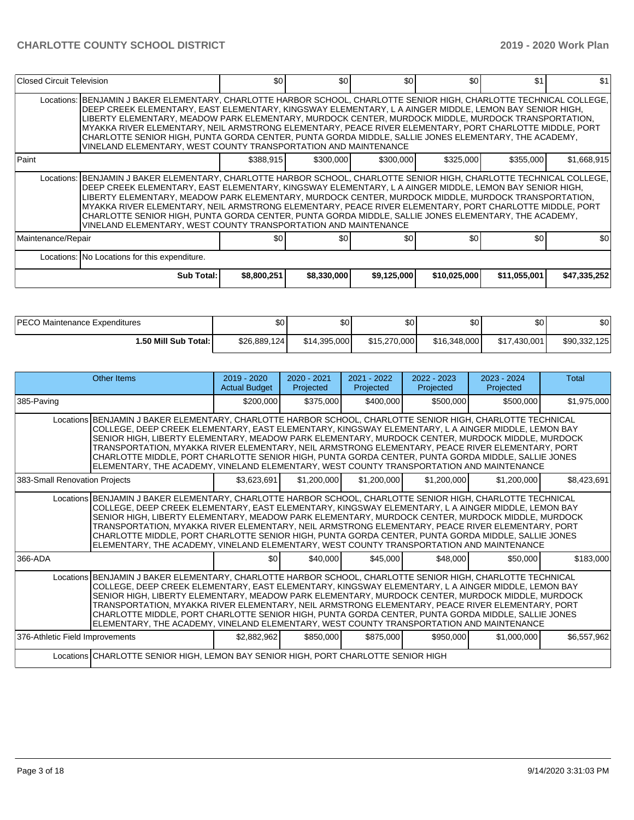| Closed Circuit Television |                                                                                                                                                                                                                                                                                                                                                                                                                                                                                                                                                                                                                               | \$0         | \$0         | \$0         | \$0          | \$1          | \$1          |
|---------------------------|-------------------------------------------------------------------------------------------------------------------------------------------------------------------------------------------------------------------------------------------------------------------------------------------------------------------------------------------------------------------------------------------------------------------------------------------------------------------------------------------------------------------------------------------------------------------------------------------------------------------------------|-------------|-------------|-------------|--------------|--------------|--------------|
|                           | Locations: BENJAMIN J BAKER ELEMENTARY, CHARLOTTE HARBOR SCHOOL, CHARLOTTE SENIOR HIGH, CHARLOTTE TECHNICAL COLLEGE,<br>DEEP CREEK ELEMENTARY, EAST ELEMENTARY, KINGSWAY ELEMENTARY, L A AINGER MIDDLE, LEMON BAY SENIOR HIGH,<br>LIBERTY ELEMENTARY, MEADOW PARK ELEMENTARY, MURDOCK CENTER, MURDOCK MIDDLE, MURDOCK TRANSPORTATION,<br>MYAKKA RIVER ELEMENTARY, NEIL ARMSTRONG ELEMENTARY, PEACE RIVER ELEMENTARY, PORT CHARLOTTE MIDDLE, PORT<br>CHARLOTTE SENIOR HIGH, PUNTA GORDA CENTER, PUNTA GORDA MIDDLE, SALLIE JONES ELEMENTARY, THE ACADEMY,<br>VINELAND ELEMENTARY, WEST COUNTY TRANSPORTATION AND MAINTENANCE   |             |             |             |              |              |              |
| Paint                     |                                                                                                                                                                                                                                                                                                                                                                                                                                                                                                                                                                                                                               | \$388,915   | \$300,000   | \$300,000   | \$325,000    | \$355,000    | \$1,668,915  |
|                           | Locations:   BENJAMIN J BAKER ELEMENTARY, CHARLOTTE HARBOR SCHOOL, CHARLOTTE SENIOR HIGH, CHARLOTTE TECHNICAL COLLEGE,<br>DEEP CREEK ELEMENTARY, EAST ELEMENTARY, KINGSWAY ELEMENTARY, L A AINGER MIDDLE, LEMON BAY SENIOR HIGH,<br>LIBERTY ELEMENTARY, MEADOW PARK ELEMENTARY, MURDOCK CENTER, MURDOCK MIDDLE, MURDOCK TRANSPORTATION,<br>MYAKKA RIVER ELEMENTARY, NEIL ARMSTRONG ELEMENTARY, PEACE RIVER ELEMENTARY, PORT CHARLOTTE MIDDLE, PORT<br>CHARLOTTE SENIOR HIGH, PUNTA GORDA CENTER, PUNTA GORDA MIDDLE, SALLIE JONES ELEMENTARY, THE ACADEMY,<br>VINELAND ELEMENTARY, WEST COUNTY TRANSPORTATION AND MAINTENANCE |             |             |             |              |              |              |
| Maintenance/Repair        |                                                                                                                                                                                                                                                                                                                                                                                                                                                                                                                                                                                                                               | \$0         | \$0         | \$0         | \$0          | \$0          | \$0          |
|                           | Locations: No Locations for this expenditure.                                                                                                                                                                                                                                                                                                                                                                                                                                                                                                                                                                                 |             |             |             |              |              |              |
|                           | <b>Sub Total:</b>                                                                                                                                                                                                                                                                                                                                                                                                                                                                                                                                                                                                             | \$8,800,251 | \$8,330,000 | \$9,125,000 | \$10,025,000 | \$11,055,001 | \$47,335,252 |

| <b>IPECO Maintenance Expenditures</b> | \$0          | $\sim$<br>Ψ  | ሶሳ<br>υŒ     | ሶሳ<br>υU     | \$0          | \$0          |
|---------------------------------------|--------------|--------------|--------------|--------------|--------------|--------------|
| 1.50 Mill Sub Total: İ                | \$26,889,124 | \$14,395,000 | \$15,270,000 | \$16,348,000 | \$17.430.001 | \$90,332,125 |

|                                                                                                                                                                                                                                                                                                                                                                                                                                                                                                                                                                                                                            | Other Items                                                                                                                                                                                                                                                                                                                                                                                                                                                                                                                                                                                                                | $2019 - 2020$<br><b>Actual Budget</b> | 2020 - 2021<br>Projected | 2021 - 2022<br>Projected | $2022 - 2023$<br>Projected | 2023 - 2024<br>Projected | Total       |
|----------------------------------------------------------------------------------------------------------------------------------------------------------------------------------------------------------------------------------------------------------------------------------------------------------------------------------------------------------------------------------------------------------------------------------------------------------------------------------------------------------------------------------------------------------------------------------------------------------------------------|----------------------------------------------------------------------------------------------------------------------------------------------------------------------------------------------------------------------------------------------------------------------------------------------------------------------------------------------------------------------------------------------------------------------------------------------------------------------------------------------------------------------------------------------------------------------------------------------------------------------------|---------------------------------------|--------------------------|--------------------------|----------------------------|--------------------------|-------------|
| 385-Paving                                                                                                                                                                                                                                                                                                                                                                                                                                                                                                                                                                                                                 |                                                                                                                                                                                                                                                                                                                                                                                                                                                                                                                                                                                                                            | \$200,000                             | \$375,000                | \$400,000                | \$500,000                  | \$500,000                | \$1,975,000 |
| Locations BENJAMIN J BAKER ELEMENTARY, CHARLOTTE HARBOR SCHOOL, CHARLOTTE SENIOR HIGH, CHARLOTTE TECHNICAL<br>COLLEGE, DEEP CREEK ELEMENTARY, EAST ELEMENTARY, KINGSWAY ELEMENTARY, L A AINGER MIDDLE, LEMON BAY<br>SENIOR HIGH, LIBERTY ELEMENTARY, MEADOW PARK ELEMENTARY, MURDOCK CENTER, MURDOCK MIDDLE, MURDOCK<br>TRANSPORTATION, MYAKKA RIVER ELEMENTARY, NEIL ARMSTRONG ELEMENTARY, PEACE RIVER ELEMENTARY, PORT<br>CHARLOTTE MIDDLE, PORT CHARLOTTE SENIOR HIGH, PUNTA GORDA CENTER, PUNTA GORDA MIDDLE, SALLIE JONES<br>ELEMENTARY, THE ACADEMY, VINELAND ELEMENTARY, WEST COUNTY TRANSPORTATION AND MAINTENANCE |                                                                                                                                                                                                                                                                                                                                                                                                                                                                                                                                                                                                                            |                                       |                          |                          |                            |                          |             |
| 383-Small Renovation Projects                                                                                                                                                                                                                                                                                                                                                                                                                                                                                                                                                                                              |                                                                                                                                                                                                                                                                                                                                                                                                                                                                                                                                                                                                                            | \$3,623,691                           | \$1,200,000              | \$1,200,000              | \$1,200,000                | \$1,200,000              | \$8,423,691 |
|                                                                                                                                                                                                                                                                                                                                                                                                                                                                                                                                                                                                                            | Locations BENJAMIN J BAKER ELEMENTARY, CHARLOTTE HARBOR SCHOOL, CHARLOTTE SENIOR HIGH, CHARLOTTE TECHNICAL<br>COLLEGE, DEEP CREEK ELEMENTARY, EAST ELEMENTARY, KINGSWAY ELEMENTARY, L A AINGER MIDDLE, LEMON BAY<br>SENIOR HIGH, LIBERTY ELEMENTARY, MEADOW PARK ELEMENTARY, MURDOCK CENTER, MURDOCK MIDDLE, MURDOCK<br>TRANSPORTATION, MYAKKA RIVER ELEMENTARY, NEIL ARMSTRONG ELEMENTARY, PEACE RIVER ELEMENTARY, PORT<br>CHARLOTTE MIDDLE, PORT CHARLOTTE SENIOR HIGH, PUNTA GORDA CENTER, PUNTA GORDA MIDDLE, SALLIE JONES<br>ELEMENTARY, THE ACADEMY, VINELAND ELEMENTARY, WEST COUNTY TRANSPORTATION AND MAINTENANCE |                                       |                          |                          |                            |                          |             |
| 366-ADA                                                                                                                                                                                                                                                                                                                                                                                                                                                                                                                                                                                                                    |                                                                                                                                                                                                                                                                                                                                                                                                                                                                                                                                                                                                                            | \$0                                   | \$40,000                 | \$45,000                 | \$48,000                   | \$50,000                 | \$183,000   |
|                                                                                                                                                                                                                                                                                                                                                                                                                                                                                                                                                                                                                            | Locations BENJAMIN J BAKER ELEMENTARY, CHARLOTTE HARBOR SCHOOL, CHARLOTTE SENIOR HIGH, CHARLOTTE TECHNICAL<br>COLLEGE, DEEP CREEK ELEMENTARY, EAST ELEMENTARY, KINGSWAY ELEMENTARY, L A AINGER MIDDLE, LEMON BAY<br>SENIOR HIGH, LIBERTY ELEMENTARY, MEADOW PARK ELEMENTARY, MURDOCK CENTER, MURDOCK MIDDLE, MURDOCK<br>TRANSPORTATION, MYAKKA RIVER ELEMENTARY, NEIL ARMSTRONG ELEMENTARY, PEACE RIVER ELEMENTARY, PORT<br>CHARLOTTE MIDDLE, PORT CHARLOTTE SENIOR HIGH, PUNTA GORDA CENTER, PUNTA GORDA MIDDLE, SALLIE JONES<br>ELEMENTARY, THE ACADEMY, VINELAND ELEMENTARY, WEST COUNTY TRANSPORTATION AND MAINTENANCE |                                       |                          |                          |                            |                          |             |
| 376-Athletic Field Improvements                                                                                                                                                                                                                                                                                                                                                                                                                                                                                                                                                                                            |                                                                                                                                                                                                                                                                                                                                                                                                                                                                                                                                                                                                                            | \$2,882,962                           | \$850,000                | \$875,000                | \$950,000                  | \$1,000,000              | \$6,557,962 |
|                                                                                                                                                                                                                                                                                                                                                                                                                                                                                                                                                                                                                            | Locations CHARLOTTE SENIOR HIGH, LEMON BAY SENIOR HIGH, PORT CHARLOTTE SENIOR HIGH                                                                                                                                                                                                                                                                                                                                                                                                                                                                                                                                         |                                       |                          |                          |                            |                          |             |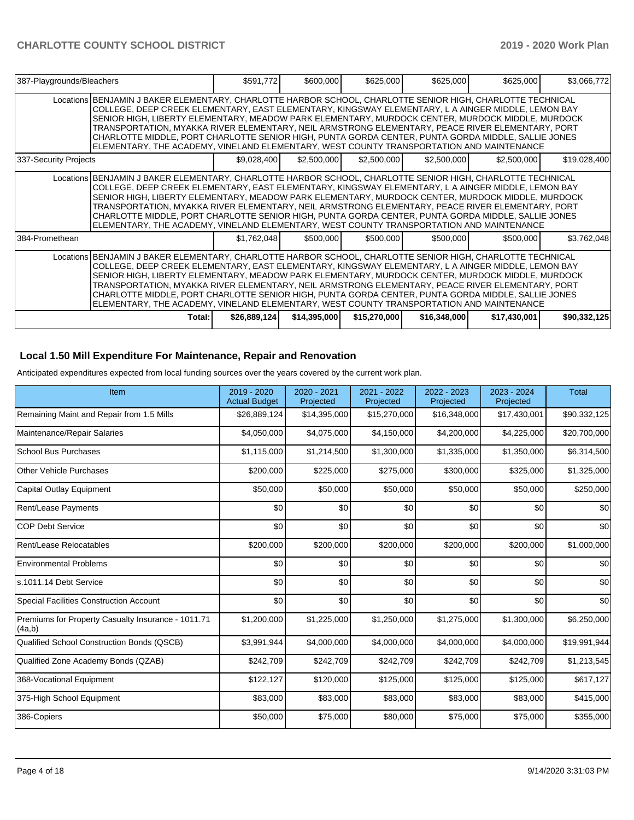| 387-Playgrounds/Bleachers |                                                                                                                                                                                                                                                                                                                                                                                                                                                                                                                                                                                                                             | \$591,772     | \$600,000    | \$625,000    | \$625,000    | \$625,000    | \$3,066,772  |
|---------------------------|-----------------------------------------------------------------------------------------------------------------------------------------------------------------------------------------------------------------------------------------------------------------------------------------------------------------------------------------------------------------------------------------------------------------------------------------------------------------------------------------------------------------------------------------------------------------------------------------------------------------------------|---------------|--------------|--------------|--------------|--------------|--------------|
|                           | Locations BENJAMIN J BAKER ELEMENTARY, CHARLOTTE HARBOR SCHOOL, CHARLOTTE SENIOR HIGH, CHARLOTTE TECHNICAL<br>COLLEGE, DEEP CREEK ELEMENTARY, EAST ELEMENTARY, KINGSWAY ELEMENTARY, L A AINGER MIDDLE, LEMON BAY<br>SENIOR HIGH, LIBERTY ELEMENTARY, MEADOW PARK ELEMENTARY, MURDOCK CENTER, MURDOCK MIDDLE, MURDOCK<br>TRANSPORTATION, MYAKKA RIVER ELEMENTARY, NEIL ARMSTRONG ELEMENTARY, PEACE RIVER ELEMENTARY, PORT<br>CHARLOTTE MIDDLE, PORT CHARLOTTE SENIOR HIGH, PUNTA GORDA CENTER, PUNTA GORDA MIDDLE, SALLIE JONES<br>ELEMENTARY, THE ACADEMY, VINELAND ELEMENTARY, WEST COUNTY TRANSPORTATION AND MAINTENANCE  |               |              |              |              |              |              |
| 337-Security Projects     |                                                                                                                                                                                                                                                                                                                                                                                                                                                                                                                                                                                                                             | \$9,028,400   | \$2,500,000  | \$2,500,000  | \$2,500,000  | \$2,500,000  | \$19,028,400 |
|                           | Locations BENJAMIN J BAKER ELEMENTARY, CHARLOTTE HARBOR SCHOOL, CHARLOTTE SENIOR HIGH, CHARLOTTE TECHNICAL<br>COLLEGE, DEEP CREEK ELEMENTARY, EAST ELEMENTARY, KINGSWAY ELEMENTARY, L A AINGER MIDDLE, LEMON BAY<br>SENIOR HIGH, LIBERTY ELEMENTARY, MEADOW PARK ELEMENTARY, MURDOCK CENTER, MURDOCK MIDDLE, MURDOCK<br>TRANSPORTATION, MYAKKA RIVER ELEMENTARY, NEIL ARMSTRONG ELEMENTARY, PEACE RIVER ELEMENTARY, PORT<br>CHARLOTTE MIDDLE, PORT CHARLOTTE SENIOR HIGH, PUNTA GORDA CENTER, PUNTA GORDA MIDDLE, SALLIE JONES<br>ELEMENTARY, THE ACADEMY, VINELAND ELEMENTARY, WEST COUNTY TRANSPORTATION AND MAINTENANCE  |               |              |              |              |              |              |
| 384-Promethean            |                                                                                                                                                                                                                                                                                                                                                                                                                                                                                                                                                                                                                             | \$1,762,048   | \$500,000    | \$500,000    | \$500,000    | \$500,000    | \$3,762,048  |
|                           | Locations BENJAMIN J BAKER ELEMENTARY, CHARLOTTE HARBOR SCHOOL, CHARLOTTE SENIOR HIGH, CHARLOTTE TECHNICAL<br>COLLEGE, DEEP CREEK ELEMENTARY, EAST ELEMENTARY, KINGSWAY ELEMENTARY, L A AINGER MIDDLE, LEMON BAY<br>SENIOR HIGH, LIBERTY ELEMENTARY, MEADOW PARK ELEMENTARY, MURDOCK CENTER, MURDOCK MIDDLE, MURDOCK<br>TRANSPORTATION, MYAKKA RIVER ELEMENTARY, NEIL ARMSTRONG ELEMENTARY, PEACE RIVER ELEMENTARY, PORT<br>CHARLOTTE MIDDLE, PORT CHARLOTTE SENIOR HIGH, PUNTA GORDA CENTER, PUNTA GORDA MIDDLE, SALLIE JONES<br>IELEMENTARY, THE ACADEMY, VINELAND ELEMENTARY, WEST COUNTY TRANSPORTATION AND MAINTENANCE |               |              |              |              |              |              |
|                           | Total:                                                                                                                                                                                                                                                                                                                                                                                                                                                                                                                                                                                                                      | \$26,889,124] | \$14,395,000 | \$15,270,000 | \$16,348,000 | \$17,430,001 | \$90,332,125 |

### **Local 1.50 Mill Expenditure For Maintenance, Repair and Renovation**

Anticipated expenditures expected from local funding sources over the years covered by the current work plan.

| Item                                                         | 2019 - 2020<br><b>Actual Budget</b> | 2020 - 2021<br>Projected | 2021 - 2022<br>Projected | 2022 - 2023<br>Projected | 2023 - 2024<br>Projected | <b>Total</b> |
|--------------------------------------------------------------|-------------------------------------|--------------------------|--------------------------|--------------------------|--------------------------|--------------|
| Remaining Maint and Repair from 1.5 Mills                    | \$26,889,124                        | \$14,395,000             | \$15,270,000             | \$16,348,000             | \$17,430,001             | \$90,332,125 |
| Maintenance/Repair Salaries                                  | \$4,050,000                         | \$4,075,000              | \$4,150,000              | \$4,200,000              | \$4,225,000              | \$20,700,000 |
| <b>School Bus Purchases</b>                                  | \$1,115,000                         | \$1,214,500              | \$1,300,000              | \$1,335,000              | \$1,350,000              | \$6,314,500  |
| <b>Other Vehicle Purchases</b>                               | \$200,000                           | \$225,000                | \$275,000                | \$300,000                | \$325,000                | \$1,325,000  |
| <b>Capital Outlay Equipment</b>                              | \$50,000                            | \$50,000                 | \$50,000                 | \$50,000                 | \$50,000                 | \$250,000    |
| <b>Rent/Lease Payments</b>                                   | \$0                                 | \$0                      | \$0                      | \$0                      | \$0                      | \$0          |
| <b>COP Debt Service</b>                                      | \$0                                 | \$0                      | \$0                      | \$0                      | \$0                      | \$0          |
| Rent/Lease Relocatables                                      | \$200,000                           | \$200,000                | \$200,000                | \$200,000                | \$200,000                | \$1,000,000  |
| <b>Environmental Problems</b>                                | \$0                                 | \$0                      | \$0                      | \$0                      | \$0                      | \$0          |
| s.1011.14 Debt Service                                       | \$0                                 | \$0                      | \$0                      | \$0                      | \$0                      | \$0          |
| <b>Special Facilities Construction Account</b>               | \$0                                 | \$0                      | \$0                      | \$0                      | \$0                      | \$0          |
| Premiums for Property Casualty Insurance - 1011.71<br>(4a,b) | \$1,200,000                         | \$1,225,000              | \$1,250,000              | \$1,275,000              | \$1,300,000              | \$6,250,000  |
| Qualified School Construction Bonds (QSCB)                   | \$3,991,944                         | \$4,000,000              | \$4,000,000              | \$4,000,000              | \$4,000,000              | \$19,991,944 |
| Qualified Zone Academy Bonds (QZAB)                          | \$242,709                           | \$242,709                | \$242,709                | \$242,709                | \$242,709                | \$1,213,545  |
| 368-Vocational Equipment                                     | \$122,127                           | \$120,000                | \$125,000                | \$125,000                | \$125,000                | \$617,127    |
| 375-High School Equipment                                    | \$83,000                            | \$83,000                 | \$83,000                 | \$83,000                 | \$83,000                 | \$415,000    |
| 386-Copiers                                                  | \$50,000                            | \$75,000                 | \$80,000                 | \$75,000                 | \$75,000                 | \$355,000    |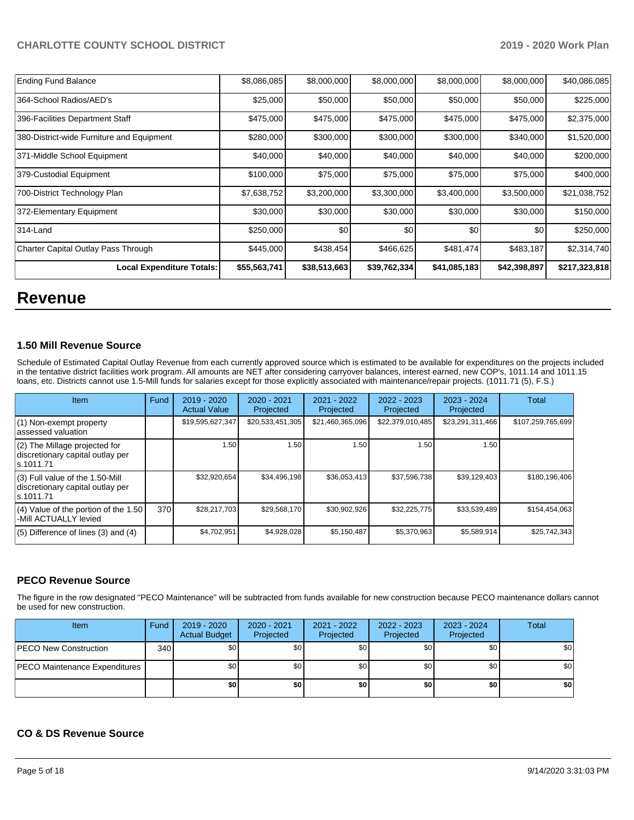| <b>Ending Fund Balance</b>                | \$8,086,085  | \$8,000,000  | \$8,000,000  | \$8,000,000  | \$8,000,000  | \$40,086,085  |
|-------------------------------------------|--------------|--------------|--------------|--------------|--------------|---------------|
| 364-School Radios/AED's                   | \$25,000     | \$50,000     | \$50,000     | \$50,000     | \$50,000     | \$225,000     |
| 396-Facilities Department Staff           | \$475,000    | \$475,000    | \$475,000    | \$475,000    | \$475,000    | \$2,375,000   |
| 380-District-wide Furniture and Equipment | \$280,000    | \$300,000    | \$300,000    | \$300,000    | \$340,000    | \$1,520,000   |
| 371-Middle School Equipment               | \$40,000     | \$40,000     | \$40,000     | \$40,000     | \$40,000     | \$200,000     |
| 379-Custodial Equipment                   | \$100,000    | \$75,000     | \$75,000     | \$75,000     | \$75,000     | \$400,000     |
| 700-District Technology Plan              | \$7,638,752  | \$3,200,000  | \$3,300,000  | \$3,400,000  | \$3,500,000  | \$21,038,752  |
| 372-Elementary Equipment                  | \$30,000     | \$30,000     | \$30,000     | \$30,000     | \$30,000     | \$150,000     |
| 314-Land                                  | \$250,000    | \$0          | \$0          | \$0          | \$0          | \$250,000     |
| Charter Capital Outlay Pass Through       | \$445,000    | \$438,454    | \$466,625    | \$481,474    | \$483,187    | \$2,314,740   |
| <b>Local Expenditure Totals:</b>          | \$55,563,741 | \$38,513,663 | \$39,762,334 | \$41,085,183 | \$42,398,897 | \$217,323,818 |

## **Revenue**

#### **1.50 Mill Revenue Source**

Schedule of Estimated Capital Outlay Revenue from each currently approved source which is estimated to be available for expenditures on the projects included in the tentative district facilities work program. All amounts are NET after considering carryover balances, interest earned, new COP's, 1011.14 and 1011.15 loans, etc. Districts cannot use 1.5-Mill funds for salaries except for those explicitly associated with maintenance/repair projects. (1011.71 (5), F.S.)

| <b>Item</b>                                                                         | Fund | $2019 - 2020$<br><b>Actual Value</b> | $2020 - 2021$<br>Projected | $2021 - 2022$<br>Projected | $2022 - 2023$<br>Projected | $2023 - 2024$<br>Projected | Total             |
|-------------------------------------------------------------------------------------|------|--------------------------------------|----------------------------|----------------------------|----------------------------|----------------------------|-------------------|
| (1) Non-exempt property<br>lassessed valuation                                      |      | \$19,595,627,347                     | \$20,533,451,305           | \$21,460,365,096           | \$22,379,010,485           | \$23,291,311,466           | \$107,259,765,699 |
| $(2)$ The Millage projected for<br>discretionary capital outlay per<br>ls.1011.71   |      | 1.50                                 | 1.50                       | 1.50                       | 1.50                       | 1.50                       |                   |
| $(3)$ Full value of the 1.50-Mill<br>discretionary capital outlay per<br>ls.1011.71 |      | \$32,920,654                         | \$34.496.198               | \$36,053,413               | \$37,596,738               | \$39,129,403               | \$180,196,406     |
| (4) Value of the portion of the 1.50<br>-Mill ACTUALLY levied                       | 370  | \$28,217,703                         | \$29,568,170               | \$30,902,926               | \$32,225,775               | \$33,539,489               | \$154,454,063     |
| $(5)$ Difference of lines $(3)$ and $(4)$                                           |      | \$4,702,951                          | \$4,928,028                | \$5,150,487                | \$5,370,963                | \$5,589,914                | \$25,742,343      |

## **PECO Revenue Source**

The figure in the row designated "PECO Maintenance" will be subtracted from funds available for new construction because PECO maintenance dollars cannot be used for new construction.

| Item                          | Fund | 2019 - 2020<br><b>Actual Budget</b> | 2020 - 2021<br>Projected | 2021 - 2022<br>Projected | $2022 - 2023$<br>Projected | 2023 - 2024<br>Projected | Total |
|-------------------------------|------|-------------------------------------|--------------------------|--------------------------|----------------------------|--------------------------|-------|
| <b>PECO New Construction</b>  | 340  | \$0                                 | \$0                      | \$0                      | \$0                        | \$0 <sub>1</sub>         | \$0   |
| PECO Maintenance Expenditures |      | \$0 <sub>1</sub>                    | \$0                      | \$0                      | \$0                        | \$0 <sub>1</sub>         | \$0   |
|                               |      | \$0                                 | \$0                      | \$0                      | \$0                        | \$0                      | \$0   |

#### **CO & DS Revenue Source**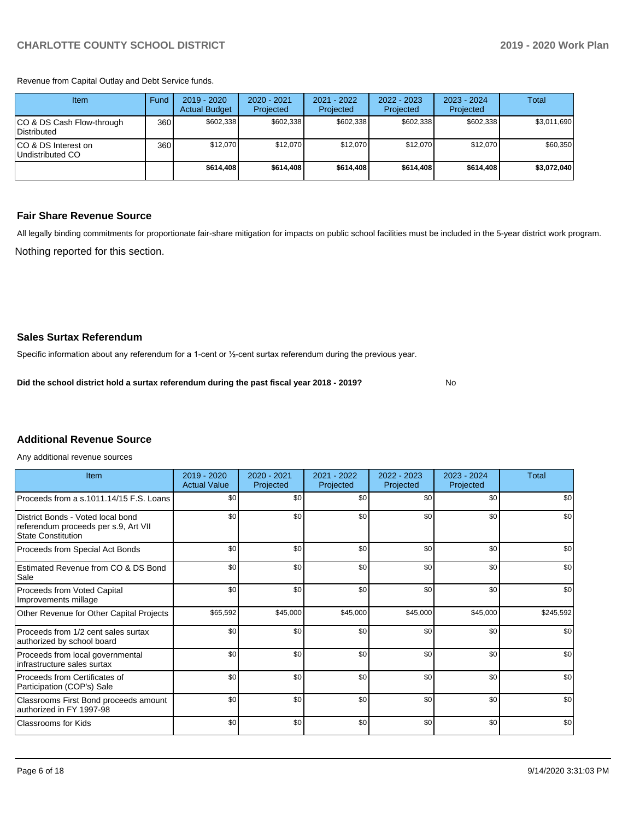Revenue from Capital Outlay and Debt Service funds.

| Item                                     | Fund             | 2019 - 2020<br><b>Actual Budget</b> | 2020 - 2021<br>Projected | 2021 - 2022<br>Projected | $2022 - 2023$<br>Projected | $2023 - 2024$<br>Projected | Total       |
|------------------------------------------|------------------|-------------------------------------|--------------------------|--------------------------|----------------------------|----------------------------|-------------|
| CO & DS Cash Flow-through<br>Distributed | 360 <sup>1</sup> | \$602.338                           | \$602.338                | \$602.338                | \$602.338                  | \$602.338                  | \$3,011,690 |
| ICO & DS Interest on<br>Undistributed CO | 360              | \$12.070                            | \$12.070                 | \$12.070                 | \$12.070                   | \$12.070                   | \$60,350    |
|                                          |                  | \$614,408                           | \$614,408                | \$614,408                | \$614,408                  | \$614,408                  | \$3,072,040 |

#### **Fair Share Revenue Source**

Nothing reported for this section. All legally binding commitments for proportionate fair-share mitigation for impacts on public school facilities must be included in the 5-year district work program.

No

#### **Sales Surtax Referendum**

Specific information about any referendum for a 1-cent or ½-cent surtax referendum during the previous year.

**Did the school district hold a surtax referendum during the past fiscal year 2018 - 2019?**

## **Additional Revenue Source**

Any additional revenue sources

| Item                                                                                                   | 2019 - 2020<br><b>Actual Value</b> | 2020 - 2021<br>Projected | 2021 - 2022<br>Projected | $2022 - 2023$<br>Projected | 2023 - 2024<br>Projected | Total     |
|--------------------------------------------------------------------------------------------------------|------------------------------------|--------------------------|--------------------------|----------------------------|--------------------------|-----------|
| Proceeds from a s.1011.14/15 F.S. Loans                                                                | \$0                                | \$0                      | \$0                      | \$0                        | \$0                      | \$0       |
| District Bonds - Voted local bond<br>referendum proceeds per s.9, Art VII<br><b>State Constitution</b> | \$0                                | \$0                      | \$0                      | \$0                        | \$0                      | \$0       |
| Proceeds from Special Act Bonds                                                                        | \$0                                | \$0                      | \$0                      | \$0                        | \$0                      | \$0       |
| Estimated Revenue from CO & DS Bond<br>Sale                                                            | \$0                                | \$0                      | \$0                      | \$0                        | \$0                      | \$0       |
| <b>Proceeds from Voted Capital</b><br>Improvements millage                                             | \$0                                | \$0                      | \$0                      | \$0                        | \$0                      | \$0       |
| Other Revenue for Other Capital Projects                                                               | \$65,592                           | \$45,000                 | \$45,000                 | \$45,000                   | \$45,000                 | \$245,592 |
| Proceeds from 1/2 cent sales surtax<br>authorized by school board                                      | \$0                                | \$0                      | \$0                      | \$0                        | \$0                      | \$0       |
| Proceeds from local governmental<br>infrastructure sales surtax                                        | \$0                                | \$0                      | \$0                      | \$0                        | \$0                      | \$0       |
| Proceeds from Certificates of<br>Participation (COP's) Sale                                            | \$0                                | \$0                      | \$0                      | \$0                        | \$0                      | \$0       |
| Classrooms First Bond proceeds amount<br>authorized in FY 1997-98                                      | \$0                                | \$0                      | \$0                      | \$0                        | \$0                      | \$0       |
| <b>Classrooms for Kids</b>                                                                             | \$0                                | \$0                      | \$0                      | \$0                        | \$0                      | \$0       |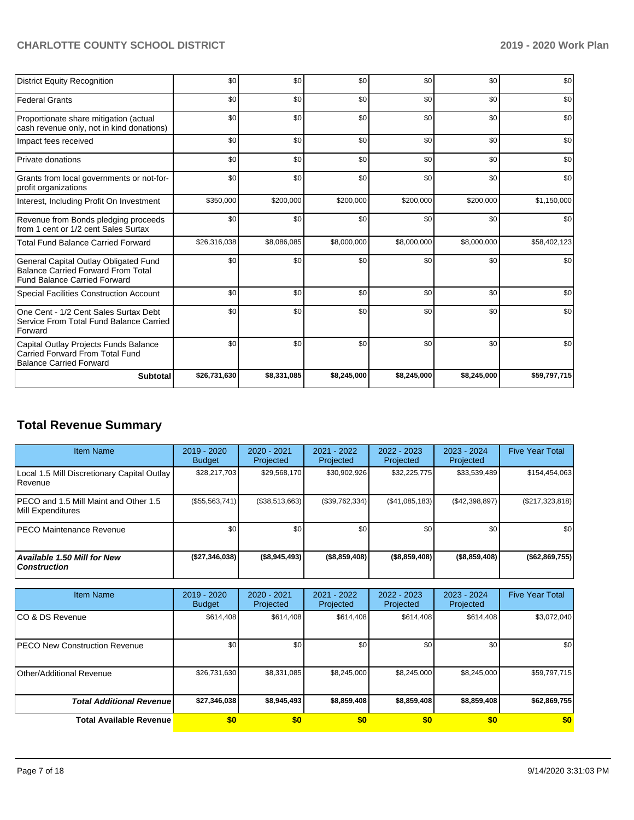| <b>District Equity Recognition</b>                                                                                        | \$0          | \$0         | \$0         | \$0         | \$0         | \$0          |
|---------------------------------------------------------------------------------------------------------------------------|--------------|-------------|-------------|-------------|-------------|--------------|
| <b>Federal Grants</b>                                                                                                     | \$0          | \$0         | \$0         | \$0         | \$0         | \$0          |
| Proportionate share mitigation (actual<br>cash revenue only, not in kind donations)                                       | \$0          | \$0         | \$0         | \$0         | \$0         | \$0          |
| Impact fees received                                                                                                      | \$0          | \$0         | \$0         | \$0         | \$0         | \$0          |
| Private donations                                                                                                         | \$0          | \$0         | \$0         | \$0         | \$0         | \$0          |
| Grants from local governments or not-for-<br>profit organizations                                                         | \$0          | \$0         | \$0         | \$0         | \$0         | \$0          |
| Interest, Including Profit On Investment                                                                                  | \$350,000    | \$200,000   | \$200,000   | \$200,000   | \$200,000   | \$1,150,000  |
| Revenue from Bonds pledging proceeds<br>from 1 cent or 1/2 cent Sales Surtax                                              | \$0          | \$0         | \$0         | \$0         | \$0         | \$0          |
| <b>Total Fund Balance Carried Forward</b>                                                                                 | \$26,316,038 | \$8,086,085 | \$8,000,000 | \$8,000,000 | \$8,000,000 | \$58,402,123 |
| General Capital Outlay Obligated Fund<br><b>Balance Carried Forward From Total</b><br><b>Fund Balance Carried Forward</b> | \$0          | \$0         | \$0         | \$0         | \$0         | \$0          |
| <b>Special Facilities Construction Account</b>                                                                            | \$0          | \$0         | \$0         | \$0         | \$0         | \$0          |
| One Cent - 1/2 Cent Sales Surtax Debt<br>Service From Total Fund Balance Carried<br>Forward                               | \$0          | \$0         | \$0         | \$0         | \$0         | \$0          |
| Capital Outlay Projects Funds Balance<br>Carried Forward From Total Fund<br><b>Balance Carried Forward</b>                | \$0          | \$0         | \$0         | \$0         | \$0         | \$0          |
| <b>Subtotal</b>                                                                                                           | \$26,731,630 | \$8,331,085 | \$8,245,000 | \$8,245,000 | \$8,245,000 | \$59,797,715 |

## **Total Revenue Summary**

| <b>Item Name</b>                                           | $2019 - 2020$<br><b>Budget</b> | 2020 - 2021<br>Projected | 2021 - 2022<br>Projected | $2022 - 2023$<br>Projected | 2023 - 2024<br>Projected | <b>Five Year Total</b> |
|------------------------------------------------------------|--------------------------------|--------------------------|--------------------------|----------------------------|--------------------------|------------------------|
| Local 1.5 Mill Discretionary Capital Outlay<br> Revenue    | \$28.217.703                   | \$29,568,170             | \$30,902,926             | \$32,225,775               | \$33,539,489             | \$154,454,063          |
| PECO and 1.5 Mill Maint and Other 1.5<br>Mill Expenditures | (\$55,563,741)                 | (S38.513.663)            | (\$39,762,334)           | (\$41,085,183)             | (S42, 398, 897)          | $(\$217,323,818)$      |
| <b>IPECO Maintenance Revenue</b>                           | \$0 <sub>1</sub>               | \$0 <sub>1</sub>         | \$0                      | \$0                        | \$0                      | \$0                    |
| <b>Available 1.50 Mill for New</b><br><b>Construction</b>  | (\$27,346,038)                 | (\$8,945,493)            | (\$8,859,408)            | (\$8,859,408)              | $($ \$8,859,408)         | ( \$62, 869, 755)      |

| <b>Item Name</b>                      | 2019 - 2020<br><b>Budget</b> | 2020 - 2021<br>Projected | 2021 - 2022<br>Projected | 2022 - 2023<br>Projected | 2023 - 2024<br>Projected | <b>Five Year Total</b> |
|---------------------------------------|------------------------------|--------------------------|--------------------------|--------------------------|--------------------------|------------------------|
| ICO & DS Revenue                      | \$614,408                    | \$614,408                | \$614,408                | \$614,408                | \$614,408                | \$3,072,040            |
| <b>IPECO New Construction Revenue</b> | \$0                          | \$0                      | \$0                      | \$0                      | \$0                      | \$0                    |
| Other/Additional Revenue              | \$26,731,630                 | \$8,331,085              | \$8,245,000              | \$8,245,000              | \$8,245,000              | \$59,797,715           |
| <b>Total Additional Revenue</b>       | \$27,346,038                 | \$8,945,493              | \$8,859,408              | \$8,859,408              | \$8,859,408              | \$62,869,755           |
| <b>Total Available Revenue</b>        | \$0                          | \$0                      | \$0                      | \$0                      | \$0                      | \$0                    |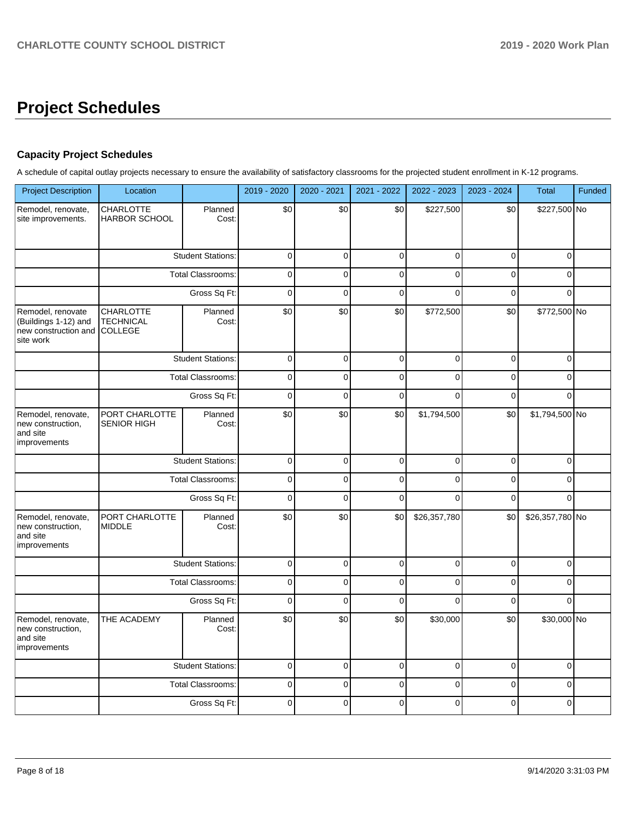## **Project Schedules**

## **Capacity Project Schedules**

A schedule of capital outlay projects necessary to ensure the availability of satisfactory classrooms for the projected student enrollment in K-12 programs.

| <b>Project Description</b>                                                     | Location                                        |                          | 2019 - 2020 | 2020 - 2021  | 2021 - 2022 | 2022 - 2023  | 2023 - 2024 | <b>Total</b>    | Funded |
|--------------------------------------------------------------------------------|-------------------------------------------------|--------------------------|-------------|--------------|-------------|--------------|-------------|-----------------|--------|
| Remodel, renovate,<br>site improvements.                                       | CHARLOTTE<br><b>HARBOR SCHOOL</b>               | Planned<br>Cost:         | \$0         | \$0          | \$0         | \$227,500    | \$0         | \$227,500 No    |        |
|                                                                                |                                                 | <b>Student Stations:</b> | $\mathbf 0$ | $\mathbf 0$  | $\mathbf 0$ | $\mathbf 0$  | $\mathbf 0$ | $\Omega$        |        |
|                                                                                |                                                 | <b>Total Classrooms:</b> | $\pmb{0}$   | $\mathbf 0$  | $\mathbf 0$ | $\mathbf 0$  | $\mathbf 0$ | $\Omega$        |        |
|                                                                                |                                                 | Gross Sq Ft:             | $\mathbf 0$ | $\mathbf 0$  | $\mathbf 0$ | $\mathbf 0$  | $\mathbf 0$ | $\Omega$        |        |
| Remodel, renovate<br>(Buildings 1-12) and<br>new construction and<br>site work | <b>CHARLOTTE</b><br><b>TECHNICAL</b><br>COLLEGE | Planned<br>Cost:         | \$0         | \$0          | \$0         | \$772,500    | \$0         | \$772,500 No    |        |
|                                                                                |                                                 | <b>Student Stations:</b> | 0           | $\mathbf 0$  | $\mathbf 0$ | $\mathbf 0$  | $\mathbf 0$ | $\Omega$        |        |
|                                                                                |                                                 | <b>Total Classrooms:</b> | $\mathbf 0$ | $\mathbf 0$  | $\mathbf 0$ | $\mathbf 0$  | $\mathbf 0$ | 0               |        |
|                                                                                |                                                 | Gross Sq Ft:             | $\pmb{0}$   | $\Omega$     | $\Omega$    | $\mathbf{0}$ | $\Omega$    | $\Omega$        |        |
| Remodel, renovate,<br>new construction,<br>and site<br>improvements            | PORT CHARLOTTE<br><b>SENIOR HIGH</b>            | Planned<br>Cost:         | \$0         | \$0          | \$0         | \$1,794,500  | \$0         | \$1,794,500 No  |        |
|                                                                                |                                                 | <b>Student Stations:</b> | $\mathbf 0$ | $\mathbf 0$  | $\mathbf 0$ | $\Omega$     | $\mathbf 0$ | $\Omega$        |        |
|                                                                                |                                                 | <b>Total Classrooms:</b> | $\mathbf 0$ | $\mathbf 0$  | $\pmb{0}$   | $\mathbf 0$  | $\mathbf 0$ | 0               |        |
|                                                                                |                                                 | Gross Sq Ft:             | $\mathbf 0$ | $\pmb{0}$    | $\pmb{0}$   | $\Omega$     | $\mathbf 0$ | $\Omega$        |        |
| Remodel, renovate,<br>new construction,<br>and site<br>improvements            | PORT CHARLOTTE<br><b>MIDDLE</b>                 | Planned<br>Cost:         | \$0         | \$0          | \$0         | \$26,357,780 | \$0         | \$26,357,780 No |        |
|                                                                                |                                                 | <b>Student Stations:</b> | $\pmb{0}$   | $\mathbf 0$  | $\pmb{0}$   | $\mathbf 0$  | $\mathbf 0$ | 0               |        |
|                                                                                |                                                 | <b>Total Classrooms:</b> | $\mathbf 0$ | $\mathbf 0$  | $\mathbf 0$ | $\mathbf 0$  | $\mathbf 0$ | $\Omega$        |        |
|                                                                                |                                                 | Gross Sq Ft:             | $\mathbf 0$ | $\mathbf 0$  | $\mathbf 0$ | $\Omega$     | $\mathbf 0$ | $\Omega$        |        |
| Remodel, renovate,<br>new construction,<br>and site<br>improvements            | THE ACADEMY                                     | Planned<br>Cost:         | \$0         | \$0          | \$0         | \$30,000     | \$0         | \$30,000 No     |        |
|                                                                                |                                                 | <b>Student Stations:</b> | $\mathbf 0$ | $\mathbf 0$  | $\mathbf 0$ | $\mathbf 0$  | $\mathbf 0$ | $\mathbf 0$     |        |
|                                                                                |                                                 | <b>Total Classrooms:</b> | 0           | 0            | $\mathsf 0$ | $\mathbf 0$  | $\pmb{0}$   | 0               |        |
|                                                                                |                                                 | Gross Sq Ft:             | $\mathbf 0$ | $\mathbf{0}$ | $\Omega$    | $\Omega$     | $\Omega$    | $\Omega$        |        |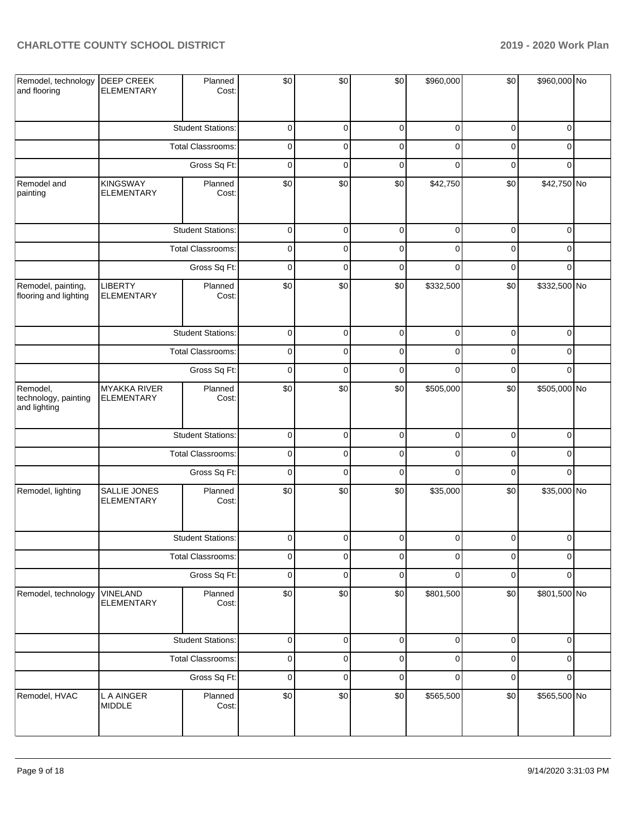| Remodel, technology<br>and flooring              | <b>DEEP CREEK</b><br><b>ELEMENTARY</b>   | Planned<br>Cost:         | \$0         | \$0            | \$0                 | \$960,000      | \$0         | \$960,000 No   |  |
|--------------------------------------------------|------------------------------------------|--------------------------|-------------|----------------|---------------------|----------------|-------------|----------------|--|
|                                                  |                                          | <b>Student Stations:</b> | 0           | 0              | 0                   | $\mathbf 0$    | 0           | 0              |  |
|                                                  |                                          | <b>Total Classrooms:</b> | 0           | 0              | $\mathbf 0$         | 0              | 0           | 0              |  |
|                                                  |                                          | Gross Sq Ft:             | 0           | 0              | $\mathbf 0$         | $\mathbf 0$    | 0           | $\mathbf 0$    |  |
| Remodel and<br>painting                          | <b>KINGSWAY</b><br><b>ELEMENTARY</b>     | Planned<br>Cost:         | \$0         | \$0            | \$0                 | \$42,750       | \$0         | \$42,750 No    |  |
|                                                  |                                          | <b>Student Stations:</b> | $\mathbf 0$ | $\mathbf 0$    | $\mathbf 0$         | $\mathbf 0$    | $\mathbf 0$ | $\mathbf 0$    |  |
|                                                  |                                          | <b>Total Classrooms:</b> | 0           | $\mathbf 0$    | $\pmb{0}$           | $\mathbf 0$    | $\mathbf 0$ | $\mathbf 0$    |  |
|                                                  |                                          | Gross Sq Ft:             | $\mathbf 0$ | 0              | $\pmb{0}$           | $\mathbf 0$    | $\mathbf 0$ | $\mathbf 0$    |  |
| Remodel, painting,<br>flooring and lighting      | <b>LIBERTY</b><br><b>ELEMENTARY</b>      | Planned<br>Cost:         | \$0         | \$0            | \$0                 | \$332,500      | \$0         | \$332,500 No   |  |
|                                                  |                                          | <b>Student Stations:</b> | 0           | 0              | $\pmb{0}$           | $\mathbf 0$    | 0           | $\mathbf 0$    |  |
|                                                  |                                          | <b>Total Classrooms:</b> | 0           | 0              | $\mathbf 0$         | $\mathbf 0$    | 0           | $\mathbf 0$    |  |
|                                                  |                                          | Gross Sq Ft:             | 0           | 0              | $\mathbf 0$         | $\mathbf 0$    | 0           | $\mathbf 0$    |  |
| Remodel,<br>technology, painting<br>and lighting | <b>MYAKKA RIVER</b><br><b>ELEMENTARY</b> | Planned<br>Cost:         | \$0         | \$0            | \$0                 | \$505,000      | \$0         | \$505,000 No   |  |
|                                                  |                                          | <b>Student Stations:</b> | $\mathsf 0$ | $\mathbf 0$    | $\pmb{0}$           | $\mathbf 0$    | $\pmb{0}$   | $\mathbf 0$    |  |
|                                                  |                                          | <b>Total Classrooms:</b> | $\mathbf 0$ | 0              | $\mathbf 0$         | $\mathbf 0$    | $\mathbf 0$ | $\mathbf 0$    |  |
|                                                  |                                          | Gross Sq Ft:             | $\mathbf 0$ | $\mathbf 0$    | $\pmb{0}$           | $\mathbf 0$    | $\mathbf 0$ | $\mathbf 0$    |  |
| Remodel, lighting                                | SALLIE JONES<br><b>ELEMENTARY</b>        | Planned<br>Cost:         | \$0         | \$0            | \$0                 | \$35,000       | \$0         | \$35,000 No    |  |
|                                                  |                                          | <b>Student Stations:</b> | $\mathbf 0$ | $\overline{0}$ | $\overline{0}$      | $\overline{0}$ | $\mathbf 0$ | $\overline{0}$ |  |
|                                                  |                                          | <b>Total Classrooms:</b> | 0           | 0              | 0                   | $\mathbf 0$    | 0           | 0              |  |
|                                                  |                                          | Gross Sq Ft:             | 0           | 0              | $\pmb{0}$           | $\mathbf 0$    | 0           | $\mathbf 0$    |  |
| Remodel, technology                              | <b>VINELAND</b><br><b>ELEMENTARY</b>     | Planned<br>Cost:         | \$0         | \$0            | \$0                 | \$801,500      | \$0         | \$801,500 No   |  |
|                                                  |                                          | <b>Student Stations:</b> | $\mathsf 0$ | $\mathsf 0$    | $\mathsf{O}\xspace$ | $\mathbf 0$    | $\pmb{0}$   | $\mathbf 0$    |  |
|                                                  |                                          | Total Classrooms:        | $\mathsf 0$ | $\mathsf 0$    | $\mathsf 0$         | $\mathbf 0$    | $\mathbf 0$ | $\mathbf 0$    |  |
|                                                  |                                          | Gross Sq Ft:             | $\mathsf 0$ | $\mathsf 0$    | $\mathsf 0$         | $\pmb{0}$      | $\mathbf 0$ | $\mathbf 0$    |  |
| Remodel, HVAC                                    | L A AINGER<br><b>MIDDLE</b>              | Planned<br>Cost:         | \$0         | \$0            | \$0                 | \$565,500      | \$0         | \$565,500 No   |  |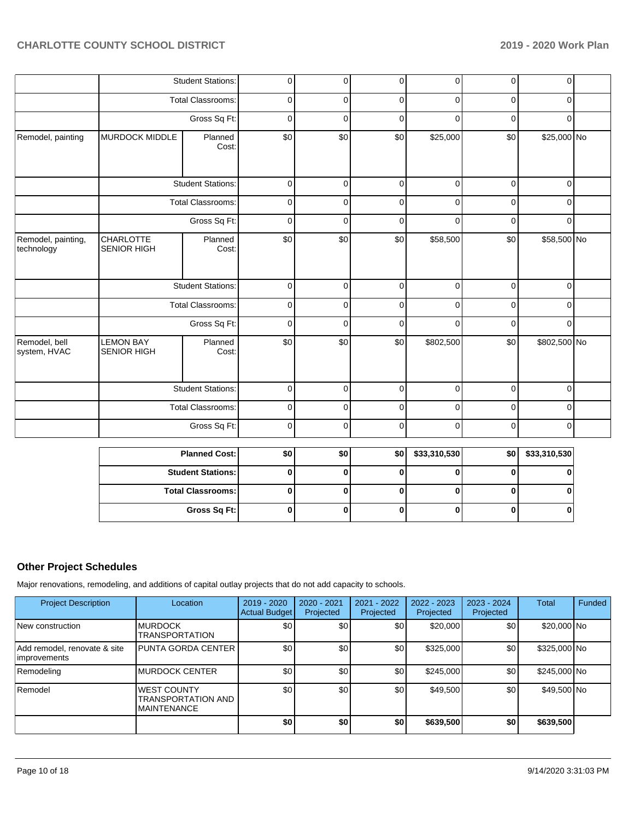|                                  |                                        | <b>Student Stations:</b> | $\overline{0}$ | $\overline{0}$ | $\overline{0}$ | $\overline{0}$ | $\overline{0}$ | $\overline{0}$                                   |  |
|----------------------------------|----------------------------------------|--------------------------|----------------|----------------|----------------|----------------|----------------|--------------------------------------------------|--|
|                                  |                                        | <b>Total Classrooms:</b> | $\mathbf 0$    | $\mathbf 0$    | $\mathbf 0$    | $\mathbf 0$    | $\mathbf 0$    | $\overline{0}$                                   |  |
|                                  |                                        | Gross Sq Ft:             | $\mathbf 0$    | $\mathbf 0$    | $\mathbf 0$    | $\mathbf 0$    | $\mathbf 0$    | $\mathbf 0$                                      |  |
| Remodel, painting                | <b>MURDOCK MIDDLE</b>                  | Planned<br>Cost:         | \$0            | \$0            | \$0            | \$25,000       | \$0            | \$25,000 No                                      |  |
|                                  |                                        | <b>Student Stations:</b> | $\mathbf 0$    | $\mathbf 0$    | $\mathbf 0$    | $\mathbf 0$    | $\mathbf 0$    | $\mathbf 0$                                      |  |
|                                  |                                        | <b>Total Classrooms:</b> | $\pmb{0}$      | 0              | $\mathbf 0$    | $\mathbf 0$    | $\mathbf 0$    | $\mathbf 0$                                      |  |
|                                  |                                        | Gross Sq Ft:             | $\mathbf 0$    | $\mathbf 0$    | $\mathbf 0$    | $\mathbf 0$    | $\mathbf 0$    | $\overline{0}$                                   |  |
| Remodel, painting,<br>technology | <b>CHARLOTTE</b><br><b>SENIOR HIGH</b> | Planned<br>Cost:         | \$0            | \$0            | \$0            | \$58,500       | \$0            | \$58,500 No                                      |  |
|                                  |                                        | <b>Student Stations:</b> | $\mathbf 0$    | $\overline{0}$ | $\mathbf 0$    | $\mathbf 0$    | $\mathbf 0$    | $\overline{0}$                                   |  |
|                                  |                                        | <b>Total Classrooms:</b> | $\mathbf 0$    | $\mathbf 0$    | $\mathbf 0$    | $\Omega$       | $\mathbf 0$    | $\mathbf 0$                                      |  |
|                                  |                                        | Gross Sq Ft:             | 0              | $\mathbf 0$    | $\mathbf 0$    | $\Omega$       | $\mathbf 0$    | $\mathbf 0$                                      |  |
| Remodel, bell<br>system, HVAC    | <b>LEMON BAY</b><br><b>SENIOR HIGH</b> | Planned<br>Cost:         | \$0            | \$0            | \$0            | \$802,500      | \$0            | \$802,500 No                                     |  |
|                                  |                                        | <b>Student Stations:</b> | $\pmb{0}$      | $\mathbf 0$    | $\mathbf 0$    | $\mathbf 0$    | $\mathbf 0$    | $\mathbf 0$                                      |  |
|                                  |                                        | <b>Total Classrooms:</b> | $\mathbf 0$    | 0              | $\pmb{0}$      | $\pmb{0}$      | $\pmb{0}$      | 0                                                |  |
|                                  |                                        | Gross Sq Ft:             | $\mathbf 0$    | $\mathbf 0$    | $\mathbf 0$    | $\mathbf 0$    | $\mathbf 0$    | $\mathbf 0$                                      |  |
|                                  |                                        | $M = 100$                | $\sim$         | امہ            |                |                |                | $\sim$ $\sim$ $\sim$ $\sim$ $\sim$ $\sim$ $\sim$ |  |

| <b>Planned Cost:</b>     | \$0 | \$0 | \$0 | \$33,310,530 | \$0 | \$33,310,530 |
|--------------------------|-----|-----|-----|--------------|-----|--------------|
| <b>Student Stations:</b> |     |     |     |              |     |              |
| <b>Total Classrooms:</b> |     |     |     |              |     |              |
| Gross Sq Ft:             |     |     |     |              |     |              |

## **Other Project Schedules**

Major renovations, remodeling, and additions of capital outlay projects that do not add capacity to schools.

| <b>Project Description</b>                    | Location                                                               | 2019 - 2020<br><b>Actual Budget</b> | 2020 - 2021<br>Projected | $2021 - 2022$<br>Projected | $2022 - 2023$<br>Projected | $2023 - 2024$<br>Projected | Total        | Funded |
|-----------------------------------------------|------------------------------------------------------------------------|-------------------------------------|--------------------------|----------------------------|----------------------------|----------------------------|--------------|--------|
| New construction                              | <b>IMURDOCK</b><br><b>TRANSPORTATION</b>                               | \$0                                 | \$0                      | \$0                        | \$20,000                   | \$0                        | \$20,000 No  |        |
| Add remodel, renovate & site<br>limprovements | <b>I</b> PUNTA GORDA CENTER                                            | \$0                                 | \$0                      | \$0                        | \$325,000                  | \$0                        | \$325,000 No |        |
| Remodeling                                    | IMURDOCK CENTER                                                        | \$0                                 | \$0                      | \$0                        | \$245,000                  | \$0                        | \$245,000 No |        |
| Remodel                                       | <b>WEST COUNTY</b><br><b>TRANSPORTATION AND</b><br><b>IMAINTENANCE</b> | \$0                                 | \$0                      | \$0                        | \$49,500                   | \$0                        | \$49,500 No  |        |
|                                               |                                                                        | \$0                                 | \$0                      | \$0                        | \$639,500                  | \$0                        | \$639,500    |        |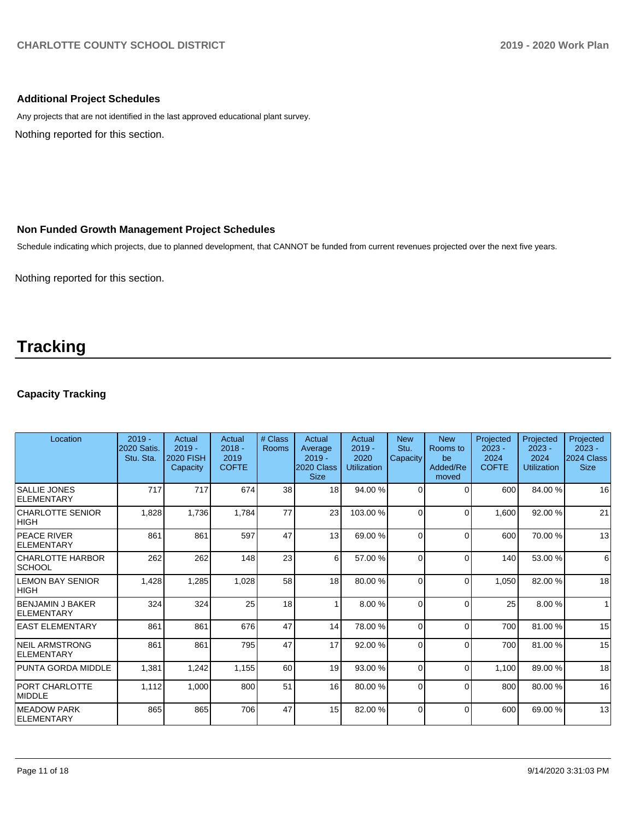## **Additional Project Schedules**

Nothing reported for this section. Any projects that are not identified in the last approved educational plant survey.

#### **Non Funded Growth Management Project Schedules**

Schedule indicating which projects, due to planned development, that CANNOT be funded from current revenues projected over the next five years.

Nothing reported for this section.

## **Tracking**

## **Capacity Tracking**

| Location                                   | $2019 -$<br><b>2020 Satis.</b><br>Stu. Sta. | Actual<br>$2019 -$<br><b>2020 FISH</b><br>Capacity | Actual<br>$2018 -$<br>2019<br><b>COFTE</b> | # Class<br>Rooms | Actual<br>Average<br>$2019 -$<br>2020 Class<br><b>Size</b> | Actual<br>$2019 -$<br>2020<br><b>Utilization</b> | <b>New</b><br>Stu.<br>Capacity | <b>New</b><br>Rooms to<br>be<br>Added/Re<br>moved | Projected<br>$2023 -$<br>2024<br><b>COFTE</b> | Projected<br>$2023 -$<br>2024<br><b>Utilization</b> | Projected<br>$2023 -$<br>2024 Class<br><b>Size</b> |
|--------------------------------------------|---------------------------------------------|----------------------------------------------------|--------------------------------------------|------------------|------------------------------------------------------------|--------------------------------------------------|--------------------------------|---------------------------------------------------|-----------------------------------------------|-----------------------------------------------------|----------------------------------------------------|
| <b>SALLIE JONES</b><br>ELEMENTARY          | 717                                         | 717                                                | 674                                        | 38               | 18                                                         | 94.00 %                                          | $\Omega$                       | $\Omega$                                          | 600                                           | 84.00 %                                             | 16                                                 |
| <b>CHARLOTTE SENIOR</b><br>HIGH            | 1,828                                       | 1,736                                              | 1,784                                      | 77               | 23                                                         | 103.00%                                          | 0                              | $\Omega$                                          | 1,600                                         | 92.00 %                                             | 21                                                 |
| <b>PEACE RIVER</b><br><b>ELEMENTARY</b>    | 861                                         | 861                                                | 597                                        | 47               | 13                                                         | 69.00 %                                          | $\Omega$                       | $\Omega$                                          | 600                                           | 70.00 %                                             | 13                                                 |
| <b>CHARLOTTE HARBOR</b><br> SCHOOL         | 262                                         | 262                                                | 148                                        | 23               | 6                                                          | 57.00 %                                          | $\Omega$                       | $\Omega$                                          | 140                                           | 53.00 %                                             | 6                                                  |
| <b>LEMON BAY SENIOR</b><br><b>HIGH</b>     | 1,428                                       | 1,285                                              | 1,028                                      | 58               | 18                                                         | 80.00 %                                          | $\Omega$                       | $\Omega$                                          | 1,050                                         | 82.00 %                                             | 18                                                 |
| <b>BENJAMIN J BAKER</b><br>ELEMENTARY      | 324                                         | 324                                                | 25                                         | 18               |                                                            | 8.00 %                                           | $\Omega$                       | $\Omega$                                          | 25                                            | 8.00 %                                              | $\mathbf{1}$                                       |
| <b>LEAST ELEMENTARY</b>                    | 861                                         | 861                                                | 676                                        | 47               | 14                                                         | 78.00 %                                          | $\Omega$                       | $\Omega$                                          | 700                                           | 81.00 %                                             | 15                                                 |
| <b>NEIL ARMSTRONG</b><br><b>ELEMENTARY</b> | 861                                         | 861                                                | 795                                        | 47               | 17                                                         | 92.00 %                                          | $\Omega$                       | $\Omega$                                          | 700                                           | 81.00%                                              | 15                                                 |
| PUNTA GORDA MIDDLE                         | 1,381                                       | 1,242                                              | 1,155                                      | 60               | 19                                                         | 93.00 %                                          | $\Omega$                       | $\Omega$                                          | 1,100                                         | 89.00 %                                             | 18                                                 |
| <b>PORT CHARLOTTE</b><br>MIDDLE            | 1,112                                       | 1,000                                              | 800                                        | 51               | 16                                                         | 80.00 %                                          | $\Omega$                       | $\Omega$                                          | 800                                           | 80.00 %                                             | 16                                                 |
| <b>IMEADOW PARK</b><br>ELEMENTARY          | 865                                         | 865                                                | 706                                        | 47               | 15                                                         | 82.00 %                                          | $\Omega$                       | $\Omega$                                          | 600                                           | 69.00 %                                             | 13                                                 |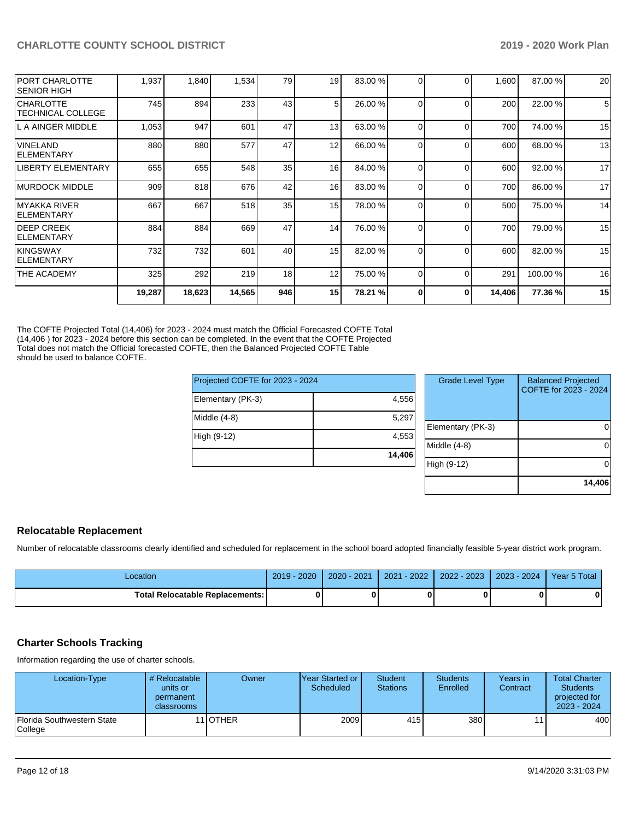| <b>PORT CHARLOTTE</b><br><b>SENIOR HIGH</b>  | 1,937  | 1,840  | 1,534  | 79  | 19 | 83.00 % | $\Omega$ | $\Omega$ | 1,600  | 87.00 % | 20 |
|----------------------------------------------|--------|--------|--------|-----|----|---------|----------|----------|--------|---------|----|
| <b>CHARLOTTE</b><br><b>TECHNICAL COLLEGE</b> | 745    | 894    | 233    | 43  | 5  | 26.00 % | 0        | $\Omega$ | 200    | 22.00 % | 5  |
| L A AINGER MIDDLE                            | 1,053  | 947    | 601    | 47  | 13 | 63.00 % | 0        | $\Omega$ | 700    | 74.00 % | 15 |
| <b>VINELAND</b><br><b>IELEMENTARY</b>        | 880    | 880    | 577    | 47  | 12 | 66.00 % | $\Omega$ | $\Omega$ | 600    | 68.00 % | 13 |
| <b>LIBERTY ELEMENTARY</b>                    | 655    | 655    | 548    | 35  | 16 | 84.00 % | $\Omega$ | $\Omega$ | 600    | 92.00 % | 17 |
| IMURDOCK MIDDLE                              | 909    | 818    | 676    | 42  | 16 | 83.00 % | $\Omega$ | $\Omega$ | 700    | 86.00 % | 17 |
| IMYAKKA RIVER<br><b>IELEMENTARY</b>          | 667    | 667    | 518    | 35  | 15 | 78.00 % | $\Omega$ | $\Omega$ | 500    | 75.00 % | 14 |
| <b>DEEP CREEK</b><br><b>ELEMENTARY</b>       | 884    | 884    | 669    | 47  | 14 | 76.00 % | 0        | $\Omega$ | 700    | 79.00 % | 15 |
| <b>KINGSWAY</b><br><b>IELEMENTARY</b>        | 732    | 732    | 601    | 40  | 15 | 82.00 % | 0        | $\Omega$ | 600    | 82.00 % | 15 |
| THE ACADEMY                                  | 325    | 292    | 219    | 18  | 12 | 75.00 % | 0        | $\Omega$ | 291    | 100.00% | 16 |
|                                              | 19,287 | 18,623 | 14,565 | 946 | 15 | 78.21 % | 0        | O        | 14,406 | 77.36 % | 15 |

The COFTE Projected Total (14,406) for 2023 - 2024 must match the Official Forecasted COFTE Total (14,406 ) for 2023 - 2024 before this section can be completed. In the event that the COFTE Projected Total does not match the Official forecasted COFTE, then the Balanced Projected COFTE Table should be used to balance COFTE.

| Projected COFTE for 2023 - 2024 |        | <b>Grade Level Type</b> | <b>Balanced Projected</b><br>COFTE for 2023 - 2024 |
|---------------------------------|--------|-------------------------|----------------------------------------------------|
| Elementary (PK-3)               | 4,556  |                         |                                                    |
| Middle $(4-8)$                  | 5,297  |                         |                                                    |
|                                 |        | Elementary (PK-3)       | $\Omega$                                           |
| High (9-12)                     | 4,553  |                         |                                                    |
|                                 |        | Middle (4-8)            | $\Omega$                                           |
|                                 | 14.406 |                         |                                                    |
|                                 |        | High (9-12)             | $\Omega$                                           |
|                                 |        |                         |                                                    |

#### **Relocatable Replacement**

Number of relocatable classrooms clearly identified and scheduled for replacement in the school board adopted financially feasible 5-year district work program.

| Location                          | $-2020$<br>$2019 -$ | $2020 - 2021$ | $-2022$<br>2021 | 2022 - 2023 | $2023 - 2024$ | Year 5 Total |
|-----------------------------------|---------------------|---------------|-----------------|-------------|---------------|--------------|
| Total Relocatable Replacements: I |                     |               |                 |             |               | 0            |

#### **Charter Schools Tracking**

Information regarding the use of charter schools.

| Location-Type                                | # Relocatable<br>units or<br>permanent<br><b>classrooms</b> | Owner             | IYear Started or<br>Scheduled | <b>Student</b><br><b>Stations</b> | <b>Students</b><br>Enrolled | Years in<br>Contract | <b>Total Charter</b><br>Students<br>projected for<br>2023 - 2024 |
|----------------------------------------------|-------------------------------------------------------------|-------------------|-------------------------------|-----------------------------------|-----------------------------|----------------------|------------------------------------------------------------------|
| Florida Southwestern State<br><b>College</b> |                                                             | 11 <b>I</b> OTHER | 2009                          | 415                               | 380                         |                      | 400                                                              |

**14,406**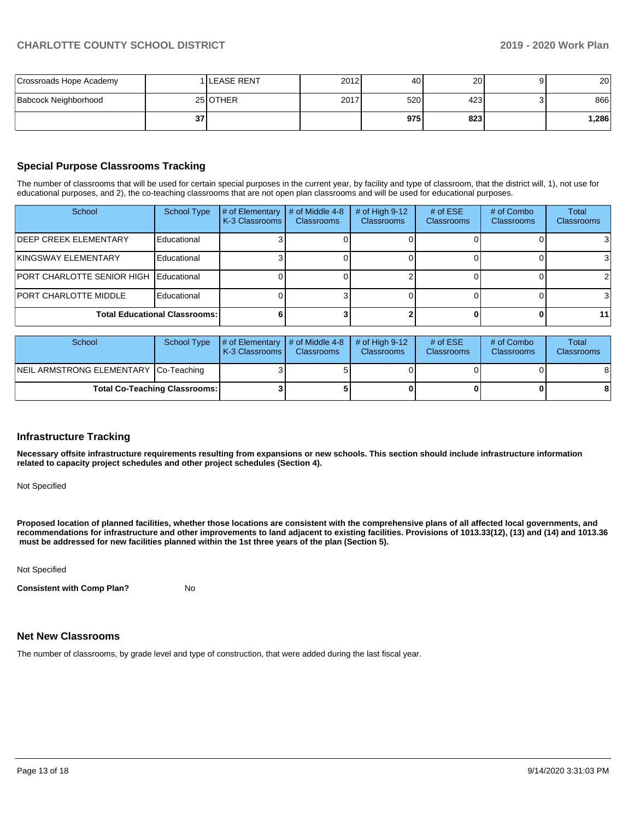| Crossroads Hope Academy |                 | 1 ILEASE RENT | 2012 | 40               | 20   | 20 <sup>1</sup> |
|-------------------------|-----------------|---------------|------|------------------|------|-----------------|
| Babcock Neighborhood    |                 | 25 OTHER      | 2017 | 520 <sup>1</sup> | 423' | 866             |
|                         | 37 <sub>l</sub> |               |      | 975              | 823  | 1.286           |

## **Special Purpose Classrooms Tracking**

The number of classrooms that will be used for certain special purposes in the current year, by facility and type of classroom, that the district will, 1), not use for educational purposes, and 2), the co-teaching classrooms that are not open plan classrooms and will be used for educational purposes.

| School                                        | <b>School Type</b> | # of Elementary<br>K-3 Classrooms | # of Middle 4-8<br><b>Classrooms</b> | # of High $9-12$<br><b>Classrooms</b> | # of $ESE$<br><b>Classrooms</b> | # of Combo<br><b>Classrooms</b> | Total<br>Classrooms |
|-----------------------------------------------|--------------------|-----------------------------------|--------------------------------------|---------------------------------------|---------------------------------|---------------------------------|---------------------|
| <b>IDEEP CREEK ELEMENTARY</b>                 | Educational        |                                   |                                      |                                       |                                 |                                 |                     |
| KINGSWAY ELEMENTARY                           | Educational        |                                   |                                      |                                       |                                 |                                 |                     |
| <b>PORT CHARLOTTE SENIOR HIGH Educational</b> |                    |                                   |                                      |                                       |                                 |                                 | 21                  |
| <b>PORT CHARLOTTE MIDDLE</b>                  | Educational        |                                   |                                      |                                       |                                 |                                 |                     |
| <b>Total Educational Classrooms:</b>          |                    |                                   |                                      |                                       |                                 | 11                              |                     |

| School                                | School Type | $\#$ of Elementary $\#$ of Middle 4-8<br><b>IK-3 Classrooms L</b> | <b>Classrooms</b> | $#$ of High 9-12<br><b>Classrooms</b> | # of $ESE$<br><b>Classrooms</b> | # of Combo<br><b>Classrooms</b> | Total<br><b>Classrooms</b> |
|---------------------------------------|-------------|-------------------------------------------------------------------|-------------------|---------------------------------------|---------------------------------|---------------------------------|----------------------------|
| NEIL ARMSTRONG ELEMENTARY Co-Teaching |             |                                                                   |                   |                                       |                                 |                                 | 8                          |
| <b>Total Co-Teaching Classrooms:</b>  |             |                                                                   |                   |                                       | 0                               | 8                               |                            |

#### **Infrastructure Tracking**

**Necessary offsite infrastructure requirements resulting from expansions or new schools. This section should include infrastructure information related to capacity project schedules and other project schedules (Section 4).** 

Not Specified

**Proposed location of planned facilities, whether those locations are consistent with the comprehensive plans of all affected local governments, and recommendations for infrastructure and other improvements to land adjacent to existing facilities. Provisions of 1013.33(12), (13) and (14) and 1013.36 must be addressed for new facilities planned within the 1st three years of the plan (Section 5).** 

Not Specified

**Consistent with Comp Plan?** No

#### **Net New Classrooms**

The number of classrooms, by grade level and type of construction, that were added during the last fiscal year.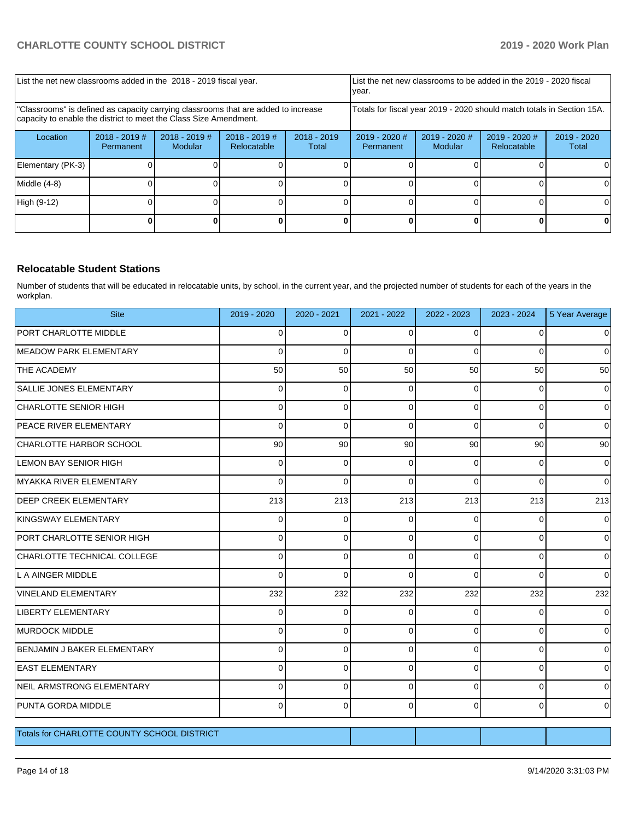| List the net new classrooms added in the 2018 - 2019 fiscal year.                                                                                       | List the net new classrooms to be added in the 2019 - 2020 fiscal<br>year. |                            |                                |                        |                                                                        |                            |                                |                        |
|---------------------------------------------------------------------------------------------------------------------------------------------------------|----------------------------------------------------------------------------|----------------------------|--------------------------------|------------------------|------------------------------------------------------------------------|----------------------------|--------------------------------|------------------------|
| "Classrooms" is defined as capacity carrying classrooms that are added to increase<br>capacity to enable the district to meet the Class Size Amendment. |                                                                            |                            |                                |                        | Totals for fiscal year 2019 - 2020 should match totals in Section 15A. |                            |                                |                        |
| Location                                                                                                                                                | $2018 - 2019$ #<br>Permanent                                               | $2018 - 2019$ #<br>Modular | $2018 - 2019$ #<br>Relocatable | $2018 - 2019$<br>Total | $2019 - 2020$ #<br>Permanent                                           | $2019 - 2020$ #<br>Modular | $2019 - 2020$ #<br>Relocatable | $2019 - 2020$<br>Total |
| Elementary (PK-3)                                                                                                                                       |                                                                            |                            |                                |                        |                                                                        |                            |                                |                        |
| Middle (4-8)                                                                                                                                            |                                                                            |                            |                                |                        |                                                                        |                            |                                |                        |
| High (9-12)                                                                                                                                             |                                                                            |                            |                                |                        |                                                                        |                            |                                | 0                      |
|                                                                                                                                                         |                                                                            |                            |                                |                        |                                                                        |                            |                                |                        |

## **Relocatable Student Stations**

Number of students that will be educated in relocatable units, by school, in the current year, and the projected number of students for each of the years in the workplan.

| <b>Site</b>                                 | 2019 - 2020    | 2020 - 2021 | 2021 - 2022 | 2022 - 2023 | 2023 - 2024 | 5 Year Average |
|---------------------------------------------|----------------|-------------|-------------|-------------|-------------|----------------|
| PORT CHARLOTTE MIDDLE                       | $\overline{0}$ | 0           | $\Omega$    | 0           | $\Omega$    | 0              |
| <b>MEADOW PARK ELEMENTARY</b>               | $\Omega$       | $\Omega$    | $\Omega$    | $\Omega$    | $\Omega$    | $\Omega$       |
| THE ACADEMY                                 | 50             | 50          | 50          | 50          | 50          | 50             |
| SALLIE JONES ELEMENTARY                     | $\Omega$       | $\Omega$    | $\Omega$    | $\Omega$    | $\Omega$    | $\Omega$       |
| <b>CHARLOTTE SENIOR HIGH</b>                | $\Omega$       | $\Omega$    | $\Omega$    | $\Omega$    | $\Omega$    | 0              |
| <b>PEACE RIVER ELEMENTARY</b>               | $\Omega$       | $\Omega$    | $\Omega$    | $\Omega$    | $\Omega$    | $\Omega$       |
| CHARLOTTE HARBOR SCHOOL                     | 90             | 90          | 90          | 90          | 90          | 90             |
| <b>LEMON BAY SENIOR HIGH</b>                | 0              | $\mathbf 0$ | 0           | 0           | 0           | 0              |
| MYAKKA RIVER ELEMENTARY                     | 0              | 0           | $\mathbf 0$ | 0           | $\Omega$    | $\mathbf 0$    |
| <b>DEEP CREEK ELEMENTARY</b>                | 213            | 213         | 213         | 213         | 213         | 213            |
| KINGSWAY ELEMENTARY                         | $\Omega$       | 0           | $\Omega$    | 0           | $\Omega$    | $\Omega$       |
| PORT CHARLOTTE SENIOR HIGH                  | $\Omega$       | $\Omega$    | $\Omega$    | 0           | $\Omega$    | $\mathbf 0$    |
| CHARLOTTE TECHNICAL COLLEGE                 | $\Omega$       | $\Omega$    | $\Omega$    | $\Omega$    | $\Omega$    | $\Omega$       |
| L A AINGER MIDDLE                           | $\Omega$       | $\Omega$    | $\Omega$    | $\Omega$    | $\Omega$    | $\Omega$       |
| <b>VINELAND ELEMENTARY</b>                  | 232            | 232         | 232         | 232         | 232         | 232            |
| <b>LIBERTY ELEMENTARY</b>                   | 0              | 0           | 0           | 0           | 0           | 0              |
| MURDOCK MIDDLE                              | $\Omega$       | 0           | $\Omega$    | 0           | $\Omega$    | $\Omega$       |
| BENJAMIN J BAKER ELEMENTARY                 | $\Omega$       | $\Omega$    | $\Omega$    | 0           | $\Omega$    | 0              |
| <b>EAST ELEMENTARY</b>                      | $\Omega$       | 0           | $\Omega$    | 0           | $\Omega$    | 0              |
| NEIL ARMSTRONG ELEMENTARY                   | $\Omega$       | $\Omega$    | $\Omega$    | 0           | $\Omega$    | 0              |
| <b>PUNTA GORDA MIDDLE</b>                   | $\Omega$       | $\Omega$    | $\Omega$    | $\Omega$    | $\Omega$    | $\Omega$       |
| Totals for CHARLOTTE COUNTY SCHOOL DISTRICT |                |             |             |             |             |                |
|                                             |                |             |             |             |             |                |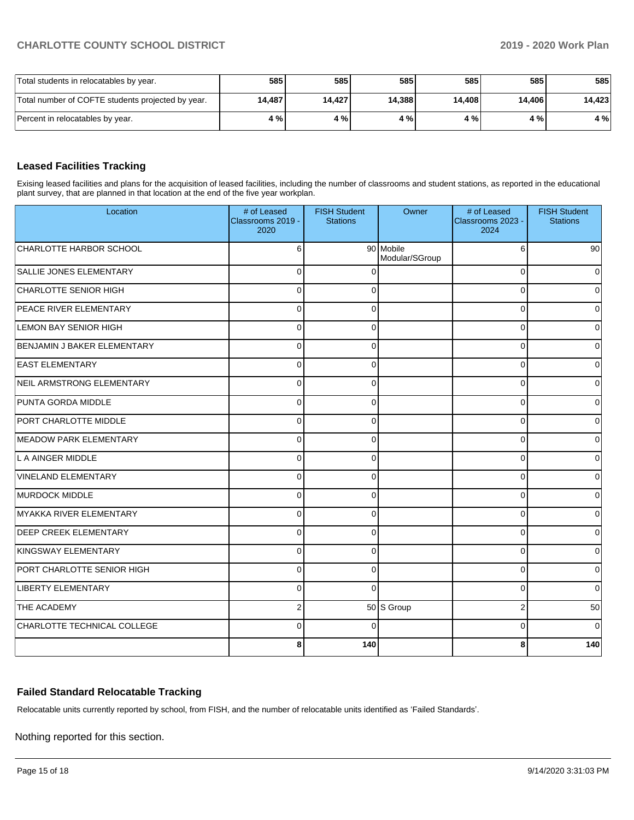| Total students in relocatables by year.           | 585    | 585    | 585    | 585    | 585 l  | 585    |
|---------------------------------------------------|--------|--------|--------|--------|--------|--------|
| Total number of COFTE students projected by year. | 14,487 | 14.427 | 14.388 | 14.408 | 14,406 | 14,423 |
| Percent in relocatables by year.                  | 4 % I  | 4 % I  | 4 % I  | 4 % I  | 4 % l  | 4 %    |

## **Leased Facilities Tracking**

Exising leased facilities and plans for the acquisition of leased facilities, including the number of classrooms and student stations, as reported in the educational plant survey, that are planned in that location at the end of the five year workplan.

| Location                      | # of Leased<br>Classrooms 2019 -<br>2020 | <b>FISH Student</b><br><b>Stations</b> | Owner                       | # of Leased<br>Classrooms 2023 -<br>2024 | <b>FISH Student</b><br><b>Stations</b> |
|-------------------------------|------------------------------------------|----------------------------------------|-----------------------------|------------------------------------------|----------------------------------------|
| CHARLOTTE HARBOR SCHOOL       | 6                                        |                                        | 90 Mobile<br>Modular/SGroup | 6                                        | 90                                     |
| SALLIE JONES ELEMENTARY       | $\Omega$                                 | $\Omega$                               |                             | $\Omega$                                 | $\Omega$                               |
| CHARLOTTE SENIOR HIGH         | $\Omega$                                 | $\Omega$                               |                             | $\Omega$                                 | $\mathbf 0$                            |
| <b>PEACE RIVER ELEMENTARY</b> | $\Omega$                                 | $\Omega$                               |                             | $\Omega$                                 | $\Omega$                               |
| LEMON BAY SENIOR HIGH         | $\Omega$                                 | $\Omega$                               |                             | $\Omega$                                 | $\Omega$                               |
| BENJAMIN J BAKER ELEMENTARY   | $\mathbf 0$                              | $\Omega$                               |                             | $\Omega$                                 | $\overline{0}$                         |
| <b>EAST ELEMENTARY</b>        | $\Omega$                                 | $\Omega$                               |                             | $\Omega$                                 | $\Omega$                               |
| NEIL ARMSTRONG ELEMENTARY     | $\Omega$                                 | $\mathbf{0}$                           |                             | $\Omega$                                 | $\overline{0}$                         |
| PUNTA GORDA MIDDLE            | $\Omega$                                 | $\Omega$                               |                             | $\Omega$                                 | $\Omega$                               |
| <b>PORT CHARLOTTE MIDDLE</b>  | $\Omega$                                 | $\mathbf{0}$                           |                             | $\Omega$                                 | $\overline{0}$                         |
| <b>MEADOW PARK ELEMENTARY</b> | $\Omega$                                 | $\Omega$                               |                             | $\Omega$                                 | $\overline{0}$                         |
| L A AINGER MIDDLE             | $\Omega$                                 | $\Omega$                               |                             | $\Omega$                                 | $\overline{0}$                         |
| <b>VINELAND ELEMENTARY</b>    | $\Omega$                                 | $\Omega$                               |                             | $\Omega$                                 | $\Omega$                               |
| MURDOCK MIDDLE                | $\Omega$                                 | $\Omega$                               |                             | $\Omega$                                 | 0                                      |
| MYAKKA RIVER ELEMENTARY       | $\Omega$                                 | $\Omega$                               |                             | $\Omega$                                 | 0                                      |
| <b>DEEP CREEK ELEMENTARY</b>  | $\Omega$                                 | $\Omega$                               |                             | $\Omega$                                 | $\overline{0}$                         |
| KINGSWAY ELEMENTARY           | $\Omega$                                 | $\Omega$                               |                             | $\Omega$                                 | $\overline{0}$                         |
| PORT CHARLOTTE SENIOR HIGH    | $\Omega$                                 | $\Omega$                               |                             | $\Omega$                                 | $\overline{0}$                         |
| LIBERTY ELEMENTARY            | $\Omega$                                 | $\Omega$                               |                             | $\Omega$                                 | $\Omega$                               |
| THE ACADEMY                   | $\overline{2}$                           |                                        | 50 S Group                  | $\overline{2}$                           | 50                                     |
| CHARLOTTE TECHNICAL COLLEGE   | $\Omega$                                 | $\Omega$                               |                             | $\Omega$                                 | $\Omega$                               |
|                               | 8                                        | 140                                    |                             | 8                                        | 140                                    |

#### **Failed Standard Relocatable Tracking**

Relocatable units currently reported by school, from FISH, and the number of relocatable units identified as 'Failed Standards'.

Nothing reported for this section.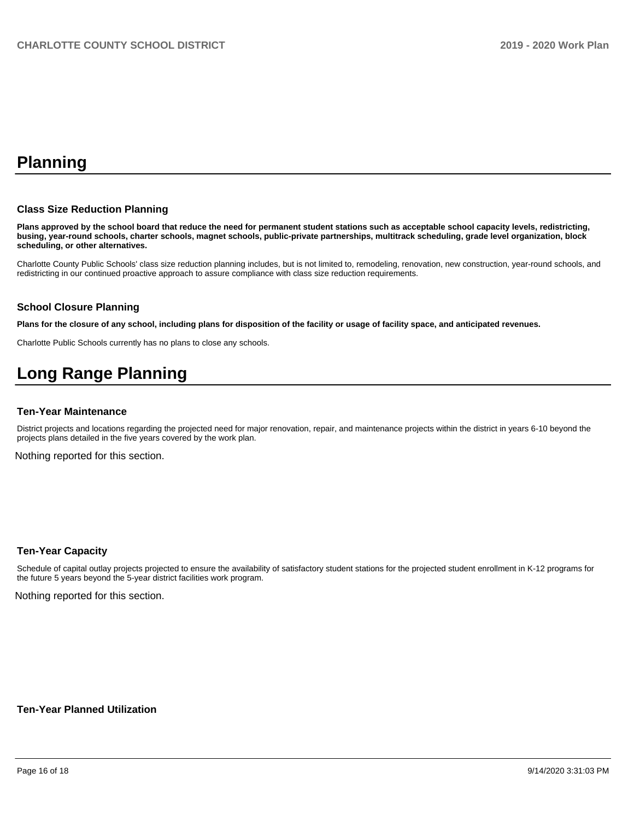## **Planning**

#### **Class Size Reduction Planning**

**Plans approved by the school board that reduce the need for permanent student stations such as acceptable school capacity levels, redistricting, busing, year-round schools, charter schools, magnet schools, public-private partnerships, multitrack scheduling, grade level organization, block scheduling, or other alternatives.**

Charlotte County Public Schools' class size reduction planning includes, but is not limited to, remodeling, renovation, new construction, year-round schools, and redistricting in our continued proactive approach to assure compliance with class size reduction requirements.

#### **School Closure Planning**

**Plans for the closure of any school, including plans for disposition of the facility or usage of facility space, and anticipated revenues.** 

Charlotte Public Schools currently has no plans to close any schools.

## **Long Range Planning**

#### **Ten-Year Maintenance**

District projects and locations regarding the projected need for major renovation, repair, and maintenance projects within the district in years 6-10 beyond the projects plans detailed in the five years covered by the work plan.

Nothing reported for this section.

#### **Ten-Year Capacity**

Schedule of capital outlay projects projected to ensure the availability of satisfactory student stations for the projected student enrollment in K-12 programs for the future 5 years beyond the 5-year district facilities work program.

Nothing reported for this section.

**Ten-Year Planned Utilization**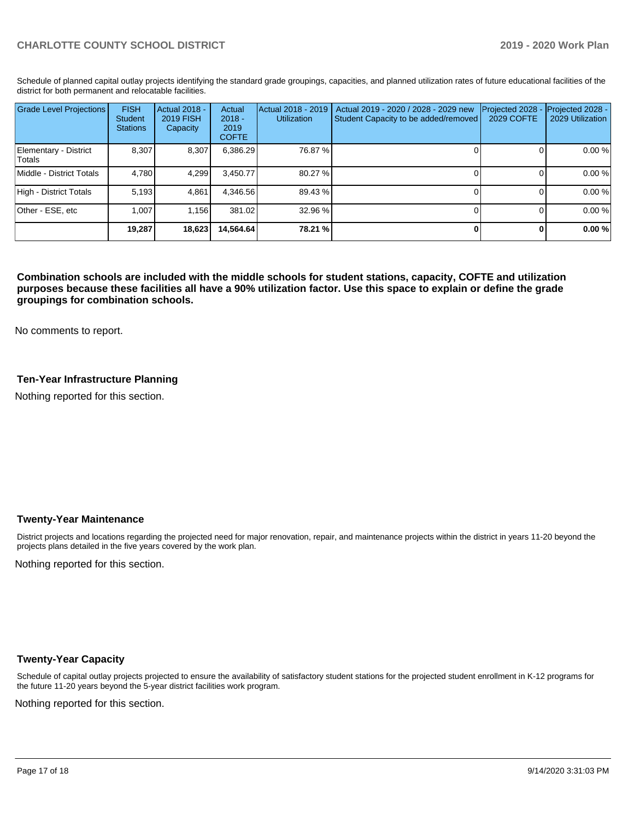Schedule of planned capital outlay projects identifying the standard grade groupings, capacities, and planned utilization rates of future educational facilities of the district for both permanent and relocatable facilities.

| <b>Grade Level Projections</b>  | <b>FISH</b><br>Student<br><b>Stations</b> | <b>Actual 2018 -</b><br><b>2019 FISH</b><br>Capacity | Actual<br>$2018 -$<br>2019<br><b>COFTE</b> | Actual 2018 - 2019<br>Utilization | Actual 2019 - 2020 / 2028 - 2029 new<br>Student Capacity to be added/removed | Projected 2028<br><b>2029 COFTE</b> | Projected 2028 -<br>2029 Utilization |
|---------------------------------|-------------------------------------------|------------------------------------------------------|--------------------------------------------|-----------------------------------|------------------------------------------------------------------------------|-------------------------------------|--------------------------------------|
| Elementary - District<br>Totals | 8.307                                     | 8,307                                                | 6,386.29                                   | 76.87 %                           |                                                                              |                                     | 0.00 %                               |
| Middle - District Totals        | 4.780                                     | 4.299                                                | 3.450.77                                   | 80.27 %                           |                                                                              |                                     | 0.00 %                               |
| High - District Totals          | 5.193                                     | 4.861                                                | 4.346.56                                   | 89.43 %                           |                                                                              |                                     | 0.00 %                               |
| Other - ESE, etc                | 1.007                                     | 1.156                                                | 381.02                                     | 32.96 %                           |                                                                              |                                     | 0.00 %                               |
|                                 | 19,287                                    | 18,623                                               | 14.564.64                                  | 78.21 %                           |                                                                              |                                     | 0.00%                                |

**Combination schools are included with the middle schools for student stations, capacity, COFTE and utilization purposes because these facilities all have a 90% utilization factor. Use this space to explain or define the grade groupings for combination schools.** 

No comments to report.

## **Ten-Year Infrastructure Planning**

Nothing reported for this section.

#### **Twenty-Year Maintenance**

District projects and locations regarding the projected need for major renovation, repair, and maintenance projects within the district in years 11-20 beyond the projects plans detailed in the five years covered by the work plan.

Nothing reported for this section.

#### **Twenty-Year Capacity**

Schedule of capital outlay projects projected to ensure the availability of satisfactory student stations for the projected student enrollment in K-12 programs for the future 11-20 years beyond the 5-year district facilities work program.

Nothing reported for this section.